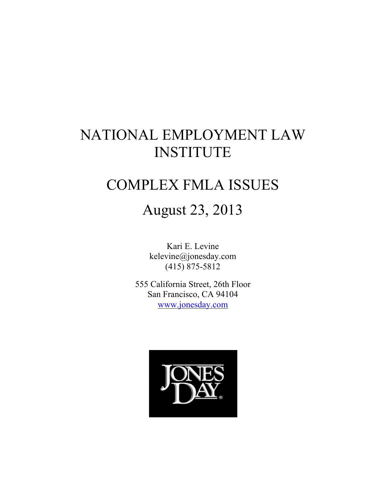# NATIONAL EMPLOYMENT LAW INSTITUTE

# COMPLEX FMLA ISSUES

# August 23, 2013

Kari E. Levine kelevine@jonesday.com (415) 875-5812

555 California Street, 26th Floor San Francisco, CA 94104 www.jonesday.com

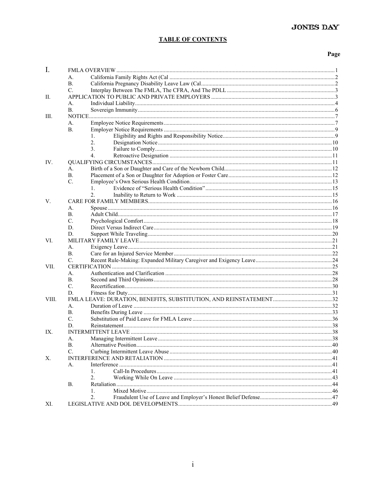# **TABLE OF CONTENTS**

#### Page

| $I_{\cdot}$ |                              |                |  |
|-------------|------------------------------|----------------|--|
|             | А.                           |                |  |
|             | <b>B.</b>                    |                |  |
|             | $C_{\cdot}$                  |                |  |
| П.          |                              |                |  |
|             | $\mathbf{A}$ .               |                |  |
|             | B <sub>1</sub>               |                |  |
| Ш.          |                              |                |  |
|             | А.                           |                |  |
|             | <b>B.</b>                    |                |  |
|             |                              | $\mathbf{1}$ . |  |
|             |                              | 2.             |  |
|             |                              | 3.             |  |
|             |                              | $4_{\cdot}$    |  |
| IV.         |                              |                |  |
|             | А.                           |                |  |
|             | B.                           |                |  |
|             | $C_{\cdot}$                  |                |  |
|             |                              | 1.             |  |
|             |                              | 2.             |  |
| V.          |                              |                |  |
|             | A.                           |                |  |
|             |                              |                |  |
|             | <b>B.</b><br>$\mathcal{C}$ . |                |  |
|             |                              |                |  |
|             | D.                           |                |  |
|             | D.                           |                |  |
| VI.         |                              |                |  |
|             | А.                           |                |  |
|             | <b>B.</b>                    |                |  |
|             | C.                           |                |  |
| VII.        |                              |                |  |
|             | A.                           |                |  |
|             | <b>B.</b>                    |                |  |
|             | C.                           |                |  |
|             | D.                           |                |  |
| VIII.       |                              |                |  |
|             | A.                           |                |  |
|             | <b>B.</b>                    |                |  |
|             | $\mathcal{C}$ .              |                |  |
|             | D.                           |                |  |
| IX.         |                              |                |  |
|             | А.                           |                |  |
|             | <b>B.</b>                    |                |  |
|             | C.                           |                |  |
| Х.          |                              |                |  |
|             | А.                           |                |  |
|             |                              | 1.             |  |
|             |                              | 2.             |  |
|             | <b>B.</b>                    |                |  |
|             |                              | 1.             |  |
|             |                              | 2.             |  |
| XI.         |                              |                |  |
|             |                              |                |  |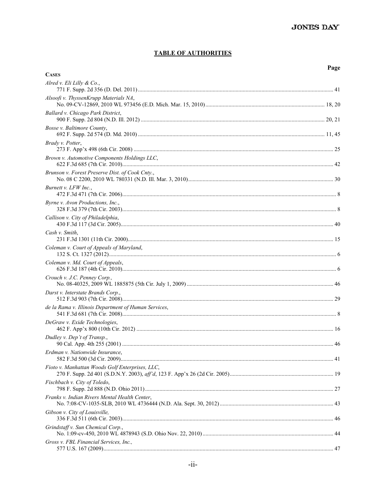#### **TABLE OF AUTHORITIES**

|--|

| <b>CASES</b>                                         |  |
|------------------------------------------------------|--|
| Alred v. Eli Lilly & Co.,                            |  |
| Alsoofi v. ThyssenKrupp Materials NA,                |  |
| Ballard v. Chicago Park District,                    |  |
| Bosse v. Baltimore County,                           |  |
| Brady v. Potter,                                     |  |
| Brown v. Automotive Components Holdings LLC,         |  |
| Brunson v. Forest Preserve Dist. of Cook Cnty.,      |  |
| Burnett v. LFW Inc.,                                 |  |
| Byrne v. Avon Productions, Inc.,                     |  |
| Callison v. City of Philadelphia,                    |  |
| Cash v. Smith,                                       |  |
| Coleman v. Court of Appeals of Maryland,             |  |
| Coleman v. Md. Court of Appeals,                     |  |
| Crouch v. J.C. Penney Corp.,                         |  |
| Darst v. Interstate Brands Corp.,                    |  |
| de la Rama v. Illinois Department of Human Services, |  |
| DeGraw v. Exide Technologies,                        |  |
| Dudley v. Dep't of Transp.,                          |  |
| Erdman v. Nationwide Insurance.                      |  |
| Fioto v. Manhattan Woods Golf Enterprises, LLC,      |  |
| Fischbach v. City of Toledo,                         |  |
| Franks v. Indian Rivers Mental Health Center,        |  |
| Gibson v. City of Louisville,                        |  |
| Grindstaff v. Sun Chemical Corp.,                    |  |
| Gross v. FBL Financial Services, Inc.,               |  |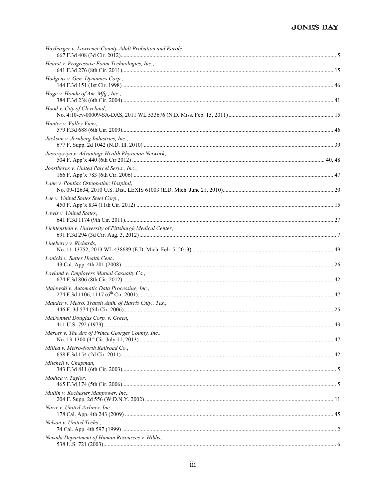| Hearst v. Progressive Foam Technologies, Inc.,<br>Hodgens v. Gen. Dynamics Corp.,<br>Hoge v. Honda of Am. Mfg., Inc.,<br>Hood v. City of Cleveland,<br>Hunter v. Valley View,<br>Jackson v. Jernberg Industries, Inc.,<br>Jaszczyszyn v. Advantage Health Physician Network,<br>Joostberns v. United Parcel Servs., Inc.,<br>Lane v. Pontiac Osteopathic Hospital,<br>Lee v. United States Steel Corp.,<br>Lewis v. United States,<br>Lichtenstein v. University of Pittsburgh Medical Center,<br>Lineberry v. Richards,<br>Lonicki v. Sutter Health Cent.,<br>Lovland v. Employers Mutual Casualty Co.,<br>Majewski v. Automatic Data Processing, Inc.,<br>Mauder v. Metro. Transit Auth. of Harris Cnty., Tex.,<br>McDonnell Douglas Corp. v. Green,<br>Mercer v. The Arc of Prince Georges County, Inc.,<br>Millea v. Metro-North Railroad Co.,<br>Mitchell v. Chapman,<br>Modica v. Taylor, | Haybarger v. Lawrence County Adult Probation and Parole, |  |
|-------------------------------------------------------------------------------------------------------------------------------------------------------------------------------------------------------------------------------------------------------------------------------------------------------------------------------------------------------------------------------------------------------------------------------------------------------------------------------------------------------------------------------------------------------------------------------------------------------------------------------------------------------------------------------------------------------------------------------------------------------------------------------------------------------------------------------------------------------------------------------------------------|----------------------------------------------------------|--|
|                                                                                                                                                                                                                                                                                                                                                                                                                                                                                                                                                                                                                                                                                                                                                                                                                                                                                                 |                                                          |  |
|                                                                                                                                                                                                                                                                                                                                                                                                                                                                                                                                                                                                                                                                                                                                                                                                                                                                                                 |                                                          |  |
|                                                                                                                                                                                                                                                                                                                                                                                                                                                                                                                                                                                                                                                                                                                                                                                                                                                                                                 |                                                          |  |
|                                                                                                                                                                                                                                                                                                                                                                                                                                                                                                                                                                                                                                                                                                                                                                                                                                                                                                 |                                                          |  |
|                                                                                                                                                                                                                                                                                                                                                                                                                                                                                                                                                                                                                                                                                                                                                                                                                                                                                                 |                                                          |  |
|                                                                                                                                                                                                                                                                                                                                                                                                                                                                                                                                                                                                                                                                                                                                                                                                                                                                                                 |                                                          |  |
|                                                                                                                                                                                                                                                                                                                                                                                                                                                                                                                                                                                                                                                                                                                                                                                                                                                                                                 |                                                          |  |
|                                                                                                                                                                                                                                                                                                                                                                                                                                                                                                                                                                                                                                                                                                                                                                                                                                                                                                 |                                                          |  |
|                                                                                                                                                                                                                                                                                                                                                                                                                                                                                                                                                                                                                                                                                                                                                                                                                                                                                                 |                                                          |  |
|                                                                                                                                                                                                                                                                                                                                                                                                                                                                                                                                                                                                                                                                                                                                                                                                                                                                                                 |                                                          |  |
|                                                                                                                                                                                                                                                                                                                                                                                                                                                                                                                                                                                                                                                                                                                                                                                                                                                                                                 |                                                          |  |
|                                                                                                                                                                                                                                                                                                                                                                                                                                                                                                                                                                                                                                                                                                                                                                                                                                                                                                 |                                                          |  |
|                                                                                                                                                                                                                                                                                                                                                                                                                                                                                                                                                                                                                                                                                                                                                                                                                                                                                                 |                                                          |  |
|                                                                                                                                                                                                                                                                                                                                                                                                                                                                                                                                                                                                                                                                                                                                                                                                                                                                                                 |                                                          |  |
|                                                                                                                                                                                                                                                                                                                                                                                                                                                                                                                                                                                                                                                                                                                                                                                                                                                                                                 |                                                          |  |
|                                                                                                                                                                                                                                                                                                                                                                                                                                                                                                                                                                                                                                                                                                                                                                                                                                                                                                 |                                                          |  |
|                                                                                                                                                                                                                                                                                                                                                                                                                                                                                                                                                                                                                                                                                                                                                                                                                                                                                                 |                                                          |  |
|                                                                                                                                                                                                                                                                                                                                                                                                                                                                                                                                                                                                                                                                                                                                                                                                                                                                                                 |                                                          |  |
|                                                                                                                                                                                                                                                                                                                                                                                                                                                                                                                                                                                                                                                                                                                                                                                                                                                                                                 |                                                          |  |
|                                                                                                                                                                                                                                                                                                                                                                                                                                                                                                                                                                                                                                                                                                                                                                                                                                                                                                 |                                                          |  |
|                                                                                                                                                                                                                                                                                                                                                                                                                                                                                                                                                                                                                                                                                                                                                                                                                                                                                                 |                                                          |  |
|                                                                                                                                                                                                                                                                                                                                                                                                                                                                                                                                                                                                                                                                                                                                                                                                                                                                                                 |                                                          |  |
|                                                                                                                                                                                                                                                                                                                                                                                                                                                                                                                                                                                                                                                                                                                                                                                                                                                                                                 | Mullin v. Rochester Manpower, Inc.,                      |  |
| Nazir v. United Airlines, Inc.,                                                                                                                                                                                                                                                                                                                                                                                                                                                                                                                                                                                                                                                                                                                                                                                                                                                                 |                                                          |  |
| Nelson v. United Techs.,                                                                                                                                                                                                                                                                                                                                                                                                                                                                                                                                                                                                                                                                                                                                                                                                                                                                        |                                                          |  |
| Nevada Department of Human Resources v. Hibbs,                                                                                                                                                                                                                                                                                                                                                                                                                                                                                                                                                                                                                                                                                                                                                                                                                                                  |                                                          |  |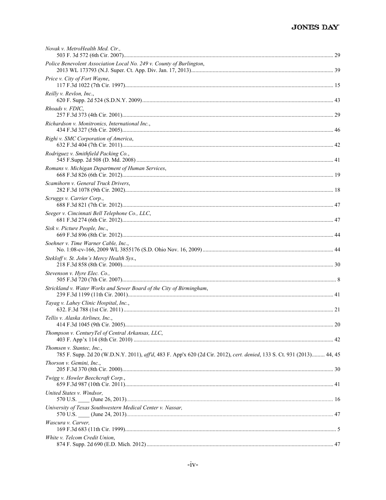| Novak v. MetroHealth Med. Ctr.,                                                                                                                     |  |
|-----------------------------------------------------------------------------------------------------------------------------------------------------|--|
| Police Benevolent Association Local No. 249 v. County of Burlington,                                                                                |  |
| Price v. City of Fort Wayne,                                                                                                                        |  |
| Reilly v. Revlon, Inc.,                                                                                                                             |  |
| Rhoads v. FDIC,                                                                                                                                     |  |
| Richardson v. Monitronics, International Inc.,                                                                                                      |  |
| Righi v. SMC Corporation of America,                                                                                                                |  |
| Rodriguez v. Smithfield Packing Co.,                                                                                                                |  |
| Romans v. Michigan Department of Human Services,                                                                                                    |  |
| Scamihorn v. General Truck Drivers,                                                                                                                 |  |
| Scruggs v. Carrier Corp.,                                                                                                                           |  |
| Seeger v. Cincinnati Bell Telephone Co., LLC,                                                                                                       |  |
| Sisk v. Picture People, Inc.,                                                                                                                       |  |
| Soehner v. Time Warner Cable, Inc.,                                                                                                                 |  |
| Stekloff v. St. John's Mercy Health Sys.,                                                                                                           |  |
| Stevenson v. Hyre Elec. Co.,                                                                                                                        |  |
| Strickland v. Water Works and Sewer Board of the City of Birmingham,                                                                                |  |
| Tayag v. Lahey Clinic Hospital, Inc.,                                                                                                               |  |
| Tellis v. Alaska Airlines, Inc.,                                                                                                                    |  |
| Thompson v. CenturyTel of Central Arkansas, LLC,                                                                                                    |  |
| Thomsen v. Stantec, Inc.,<br>785 F. Supp. 2d 20 (W.D.N.Y. 2011), aff'd, 483 F. App'x 620 (2d Cir. 2012), cert. denied, 133 S. Ct. 931 (2013) 44, 45 |  |
| Thorson v. Gemini, Inc.,                                                                                                                            |  |
| Twigg v. Howler Beechcraft Corp.,                                                                                                                   |  |
| United States v. Windsor,                                                                                                                           |  |
| University of Texas Southwestern Medical Center v. Nassar,                                                                                          |  |
| Wascura v. Carver,                                                                                                                                  |  |
| White v. Telcom Credit Union,                                                                                                                       |  |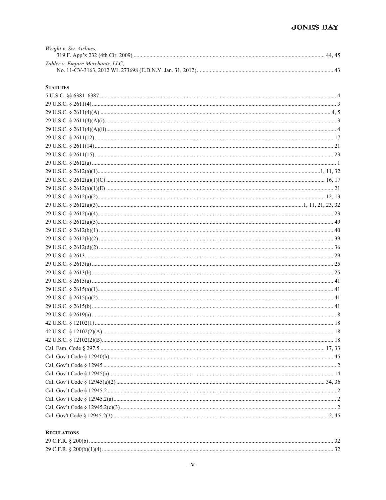# JONES DAY

| Wright v. Sw. Airlines,          |  |
|----------------------------------|--|
|                                  |  |
| Zahler v. Empire Merchants, LLC, |  |
|                                  |  |

#### **STATUTES**

#### **REGULATIONS**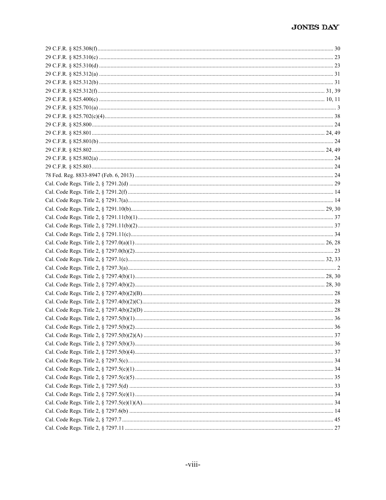| 36 |
|----|
|    |
|    |
|    |
|    |
|    |
|    |
|    |
|    |
|    |
|    |
|    |
|    |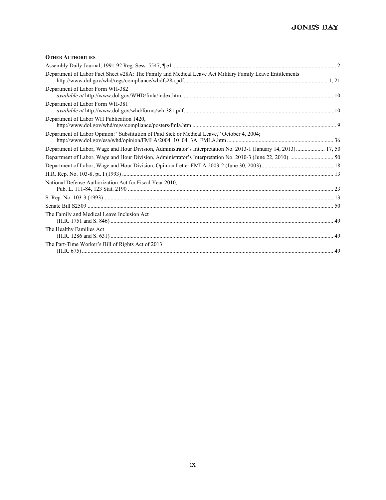#### **OTHER AUTHORITIES**

| Department of Labor Fact Sheet #28A: The Family and Medical Leave Act Military Family Leave Entitlements         |  |
|------------------------------------------------------------------------------------------------------------------|--|
| Department of Labor Form WH-382                                                                                  |  |
| Department of Labor Form WH-381                                                                                  |  |
| Department of Labor WH Publication 1420,                                                                         |  |
| Department of Labor Opinion: "Substitution of Paid Sick or Medical Leave," October 4, 2004;                      |  |
| Department of Labor, Wage and Hour Division, Administrator's Interpretation No. 2013-1 (January 14, 2013) 17, 50 |  |
|                                                                                                                  |  |
|                                                                                                                  |  |
|                                                                                                                  |  |
| National Defense Authorization Act for Fiscal Year 2010,                                                         |  |
|                                                                                                                  |  |
|                                                                                                                  |  |
| The Family and Medical Leave Inclusion Act                                                                       |  |
| The Healthy Families Act                                                                                         |  |
| The Part-Time Worker's Bill of Rights Act of 2013                                                                |  |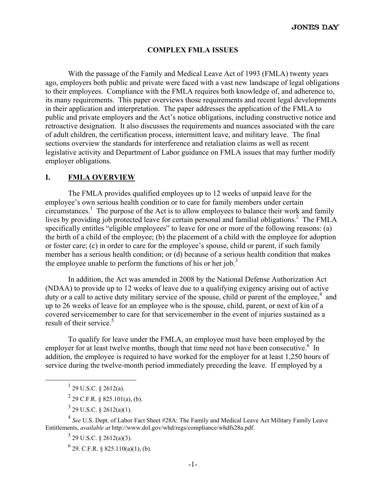#### **COMPLEX FMLA ISSUES**

With the passage of the Family and Medical Leave Act of 1993 (FMLA) twenty years ago, employers both public and private were faced with a vast new landscape of legal obligations to their employees. Compliance with the FMLA requires both knowledge of, and adherence to, its many requirements. This paper overviews those requirements and recent legal developments in their application and interpretation. The paper addresses the application of the FMLA to public and private employers and the Act's notice obligations, including constructive notice and retroactive designation. It also discusses the requirements and nuances associated with the care of adult children, the certification process, intermittent leave, and military leave. The final sections overview the standards for interference and retaliation claims as well as recent legislative activity and Department of Labor guidance on FMLA issues that may further modify employer obligations.

#### **I. FMLA OVERVIEW**

The FMLA provides qualified employees up to 12 weeks of unpaid leave for the employee's own serious health condition or to care for family members under certain circumstances.<sup>1</sup> The purpose of the Act is to allow employees to balance their work and family lives by providing job protected leave for certain personal and familial obligations.<sup>2</sup> The FMLA specifically entitles "eligible employees" to leave for one or more of the following reasons: (a) the birth of a child of the employee; (b) the placement of a child with the employee for adoption or foster care; (c) in order to care for the employee's spouse, child or parent, if such family member has a serious health condition; or (d) because of a serious health condition that makes the employee unable to perform the functions of his or her job.<sup>3</sup>

In addition, the Act was amended in 2008 by the National Defense Authorization Act (NDAA) to provide up to 12 weeks of leave due to a qualifying exigency arising out of active duty or a call to active duty military service of the spouse, child or parent of the employee, $4$  and up to 26 weeks of leave for an employee who is the spouse, child, parent, or next of kin of a covered servicemember to care for that servicemember in the event of injuries sustained as a result of their service.<sup>5</sup>

To qualify for leave under the FMLA, an employee must have been employed by the employer for at least twelve months, though that time need not have been consecutive.<sup>6</sup> In addition, the employee is required to have worked for the employer for at least 1,250 hours of service during the twelve-month period immediately preceding the leave. If employed by a

 $\frac{1}{1}$  $^{1}$  29 U.S.C. § 2612(a).

 $^{2}$  29 C.F.R. § 825.101(a), (b).

 $3^{3}$  29 U.S.C. § 2612(a)(1).

<sup>4</sup> *See* U.S. Dept. of Labor Fact Sheet #28A: The Family and Medical Leave Act Military Family Leave Entitlements, *available at* http://www.dol.gov/whd/regs/compliance/whdfs28a.pdf.

 $5$  29 U.S.C. § 2612(a)(3).

 $6$  29. C.F.R. § 825.110(a)(1), (b).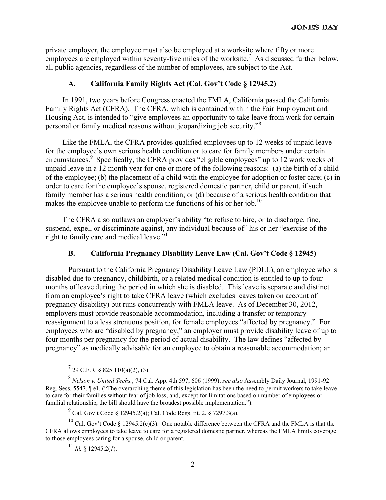private employer, the employee must also be employed at a worksite where fifty or more employees are employed within seventy-five miles of the worksite.<sup>7</sup> As discussed further below, all public agencies, regardless of the number of employees, are subject to the Act.

# **A. California Family Rights Act (Cal. Gov't Code § 12945.2)**

In 1991, two years before Congress enacted the FMLA, California passed the California Family Rights Act (CFRA). The CFRA, which is contained within the Fair Employment and Housing Act, is intended to "give employees an opportunity to take leave from work for certain personal or family medical reasons without jeopardizing job security."8

Like the FMLA, the CFRA provides qualified employees up to 12 weeks of unpaid leave for the employee's own serious health condition or to care for family members under certain circumstances.<sup>9</sup> Specifically, the CFRA provides "eligible employees" up to 12 work weeks of unpaid leave in a 12 month year for one or more of the following reasons: (a) the birth of a child of the employee; (b) the placement of a child with the employee for adoption or foster care; (c) in order to care for the employee's spouse, registered domestic partner, child or parent, if such family member has a serious health condition; or (d) because of a serious health condition that makes the employee unable to perform the functions of his or her job.<sup>10</sup>

The CFRA also outlaws an employer's ability "to refuse to hire, or to discharge, fine, suspend, expel, or discriminate against, any individual because of" his or her "exercise of the right to family care and medical leave."<sup>11</sup>

# **B. California Pregnancy Disability Leave Law (Cal. Gov't Code § 12945)**

Pursuant to the California Pregnancy Disability Leave Law (PDLL), an employee who is disabled due to pregnancy, childbirth, or a related medical condition is entitled to up to four months of leave during the period in which she is disabled. This leave is separate and distinct from an employee's right to take CFRA leave (which excludes leaves taken on account of pregnancy disability) but runs concurrently with FMLA leave. As of December 30, 2012, employers must provide reasonable accommodation, including a transfer or temporary reassignment to a less strenuous position, for female employees "affected by pregnancy." For employees who are "disabled by pregnancy," an employer must provide disability leave of up to four months per pregnancy for the period of actual disability. The law defines "affected by pregnancy" as medically advisable for an employee to obtain a reasonable accommodation; an

 $^{11}$  *Id.* § 12945.2(*I*).

 $\frac{1}{7}$  $^{7}$  29 C.F.R. § 825.110(a)(2), (3).

<sup>8</sup> *Nelson v. United Techs.*, 74 Cal. App. 4th 597, 606 (1999); *see also* Assembly Daily Journal, 1991-92 Reg. Sess. 5547, ¶ e1. ("The overarching theme of this legislation has been the need to permit workers to take leave to care for their families without fear of job loss, and, except for limitations based on number of employees or familial relationship, the bill should have the broadest possible implementation.").

<sup>&</sup>lt;sup>9</sup> Cal. Gov't Code § 12945.2(a); Cal. Code Regs. tit. 2, § 7297.3(a).

<sup>&</sup>lt;sup>10</sup> Cal. Gov't Code § 12945.2(c)(3). One notable difference between the CFRA and the FMLA is that the CFRA allows employees to take leave to care for a registered domestic partner, whereas the FMLA limits coverage to those employees caring for a spouse, child or parent.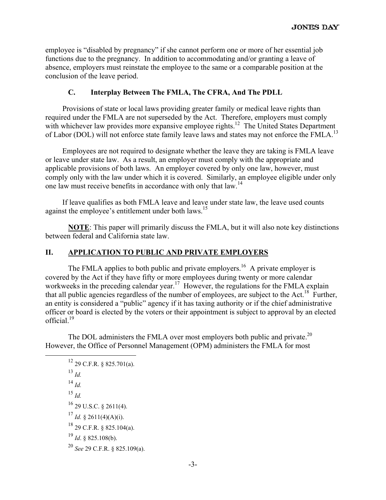employee is "disabled by pregnancy" if she cannot perform one or more of her essential job functions due to the pregnancy. In addition to accommodating and/or granting a leave of absence, employers must reinstate the employee to the same or a comparable position at the conclusion of the leave period.

# **C. Interplay Between The FMLA, The CFRA, And The PDLL**

Provisions of state or local laws providing greater family or medical leave rights than required under the FMLA are not superseded by the Act. Therefore, employers must comply with whichever law provides more expansive employee rights.<sup>12</sup> The United States Department of Labor (DOL) will not enforce state family leave laws and states may not enforce the FMLA.<sup>13</sup>

Employees are not required to designate whether the leave they are taking is FMLA leave or leave under state law. As a result, an employer must comply with the appropriate and applicable provisions of both laws. An employer covered by only one law, however, must comply only with the law under which it is covered. Similarly, an employee eligible under only one law must receive benefits in accordance with only that law.<sup>14</sup>

If leave qualifies as both FMLA leave and leave under state law, the leave used counts against the employee's entitlement under both laws.<sup>15</sup>

**NOTE**: This paper will primarily discuss the FMLA, but it will also note key distinctions between federal and California state law.

# **II. APPLICATION TO PUBLIC AND PRIVATE EMPLOYERS**

The FMLA applies to both public and private employers.<sup>16</sup> A private employer is covered by the Act if they have fifty or more employees during twenty or more calendar workweeks in the preceding calendar year.<sup>17</sup> However, the regulations for the FMLA explain that all public agencies regardless of the number of employees, are subject to the Act.<sup>18</sup> Further, an entity is considered a "public" agency if it has taxing authority or if the chief administrative officer or board is elected by the voters or their appointment is subject to approval by an elected official.19

The DOL administers the FMLA over most employers both public and private.<sup>20</sup> However, the Office of Personnel Management (OPM) administers the FMLA for most

 $12$  29 C.F.R. § 825.701(a). <sup>13</sup> *Id.* <sup>14</sup> *Id.*  $^{15}$  *Id.* 16 29 U.S.C. § 2611(4). <sup>17</sup> *Id.* § 2611(4)(A)(i). 18 29 C.F.R. § 825.104(a).  $^{19}$  *Id.* § 825.108(b). <sup>20</sup> *See* 29 C.F.R. § 825.109(a).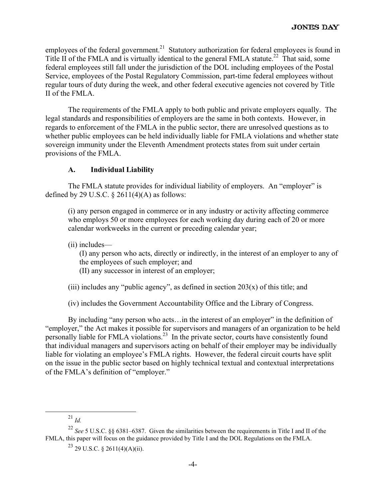employees of the federal government.<sup>21</sup> Statutory authorization for federal employees is found in Title II of the FMLA and is virtually identical to the general FMLA statute.<sup>22</sup> That said, some federal employees still fall under the jurisdiction of the DOL including employees of the Postal Service, employees of the Postal Regulatory Commission, part-time federal employees without regular tours of duty during the week, and other federal executive agencies not covered by Title II of the FMLA.

The requirements of the FMLA apply to both public and private employers equally. The legal standards and responsibilities of employers are the same in both contexts. However, in regards to enforcement of the FMLA in the public sector, there are unresolved questions as to whether public employees can be held individually liable for FMLA violations and whether state sovereign immunity under the Eleventh Amendment protects states from suit under certain provisions of the FMLA.

# **A. Individual Liability**

The FMLA statute provides for individual liability of employers. An "employer" is defined by 29 U.S.C.  $\S$  2611(4)(A) as follows:

(i) any person engaged in commerce or in any industry or activity affecting commerce who employs 50 or more employees for each working day during each of 20 or more calendar workweeks in the current or preceding calendar year;

(ii) includes—

(I) any person who acts, directly or indirectly, in the interest of an employer to any of the employees of such employer; and

(II) any successor in interest of an employer;

(iii) includes any "public agency", as defined in section  $203(x)$  of this title; and

(iv) includes the Government Accountability Office and the Library of Congress.

By including "any person who acts... in the interest of an employer" in the definition of "employer," the Act makes it possible for supervisors and managers of an organization to be held personally liable for FMLA violations.23 In the private sector, courts have consistently found that individual managers and supervisors acting on behalf of their employer may be individually liable for violating an employee's FMLA rights. However, the federal circuit courts have split on the issue in the public sector based on highly technical textual and contextual interpretations of the FMLA's definition of "employer."

 <sup>21</sup> *Id.*

<sup>22</sup> *See* 5 U.S.C. §§ 6381–6387. Given the similarities between the requirements in Title I and II of the FMLA, this paper will focus on the guidance provided by Title I and the DOL Regulations on the FMLA.

 $23$  29 U.S.C. § 2611(4)(A)(ii).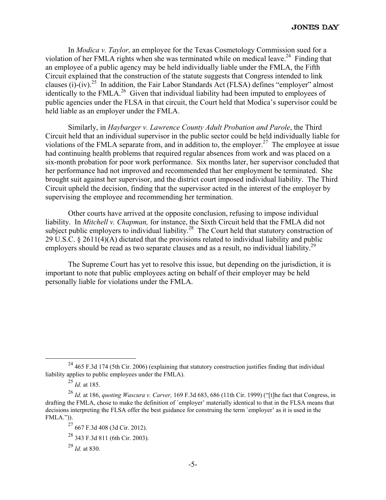In *Modica v. Taylor,* an employee for the Texas Cosmetology Commission sued for a violation of her FMLA rights when she was terminated while on medical leave.<sup>24</sup> Finding that an employee of a public agency may be held individually liable under the FMLA, the Fifth Circuit explained that the construction of the statute suggests that Congress intended to link clauses (i)-(iv).<sup>25</sup> In addition, the Fair Labor Standards Act (FLSA) defines "employer" almost identically to the FMLA.<sup>26</sup> Given that individual liability had been imputed to employees of public agencies under the FLSA in that circuit, the Court held that Modica's supervisor could be held liable as an employer under the FMLA.

Similarly, in *Haybarger v. Lawrence County Adult Probation and Parole*, the Third Circuit held that an individual supervisor in the public sector could be held individually liable for violations of the FMLA separate from, and in addition to, the employer.<sup>27</sup> The employee at issue had continuing health problems that required regular absences from work and was placed on a six-month probation for poor work performance. Six months later, her supervisor concluded that her performance had not improved and recommended that her employment be terminated. She brought suit against her supervisor, and the district court imposed individual liability. The Third Circuit upheld the decision, finding that the supervisor acted in the interest of the employer by supervising the employee and recommending her termination.

Other courts have arrived at the opposite conclusion, refusing to impose individual liability. In *Mitchell v. Chapman,* for instance, the Sixth Circuit held that the FMLA did not subject public employers to individual liability.<sup>28</sup> The Court held that statutory construction of 29 U.S.C. § 2611(4)(A) dictated that the provisions related to individual liability and public employers should be read as two separate clauses and as a result, no individual liability.<sup>29</sup>

The Supreme Court has yet to resolve this issue, but depending on the jurisdiction, it is important to note that public employees acting on behalf of their employer may be held personally liable for violations under the FMLA.

 $^{24}$  465 F.3d 174 (5th Cir. 2006) (explaining that statutory construction justifies finding that individual liability applies to public employees under the FMLA).

<sup>25</sup> *Id.* at 185.

<sup>26</sup> *Id.* at 186, *quoting Wascura v. Carver,* 169 F.3d 683, 686 (11th Cir. 1999) ("[t]he fact that Congress, in drafting the FMLA, chose to make the definition of `employer' materially identical to that in the FLSA means that decisions interpreting the FLSA offer the best guidance for construing the term `employer' as it is used in the FMLA.")).

<sup>27 667</sup> F.3d 408 (3d Cir. 2012).

<sup>28 343</sup> F.3d 811 (6th Cir. 2003).

<sup>29</sup> *Id.* at 830.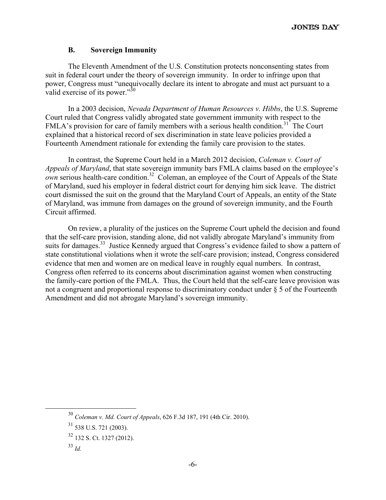#### **B. Sovereign Immunity**

The Eleventh Amendment of the U.S. Constitution protects nonconsenting states from suit in federal court under the theory of sovereign immunity. In order to infringe upon that power, Congress must "unequivocally declare its intent to abrogate and must act pursuant to a valid exercise of its power."<sup>30</sup>

In a 2003 decision, *Nevada Department of Human Resources v. Hibbs*, the U.S. Supreme Court ruled that Congress validly abrogated state government immunity with respect to the FMLA's provision for care of family members with a serious health condition.<sup>31</sup> The Court explained that a historical record of sex discrimination in state leave policies provided a Fourteenth Amendment rationale for extending the family care provision to the states.

In contrast, the Supreme Court held in a March 2012 decision, *Coleman v. Court of Appeals of Maryland*, that state sovereign immunity bars FMLA claims based on the employee's  *serious health-care condition.<sup>32</sup> Coleman, an employee of the Court of Appeals of the State* of Maryland, sued his employer in federal district court for denying him sick leave. The district court dismissed the suit on the ground that the Maryland Court of Appeals, an entity of the State of Maryland, was immune from damages on the ground of sovereign immunity, and the Fourth Circuit affirmed.

On review, a plurality of the justices on the Supreme Court upheld the decision and found that the self-care provision, standing alone, did not validly abrogate Maryland's immunity from suits for damages.<sup>33</sup> Justice Kennedy argued that Congress's evidence failed to show a pattern of state constitutional violations when it wrote the self-care provision; instead, Congress considered evidence that men and women are on medical leave in roughly equal numbers. In contrast, Congress often referred to its concerns about discrimination against women when constructing the family-care portion of the FMLA. Thus, the Court held that the self-care leave provision was not a congruent and proportional response to discriminatory conduct under § 5 of the Fourteenth Amendment and did not abrogate Maryland's sovereign immunity.

 <sup>30</sup> *Coleman v. Md. Court of Appeals*, 626 F.3d 187, 191 (4th Cir. 2010).

 $31$  538 U.S. 721 (2003).

<sup>32 132</sup> S. Ct. 1327 (2012).

 $33$  *Id.*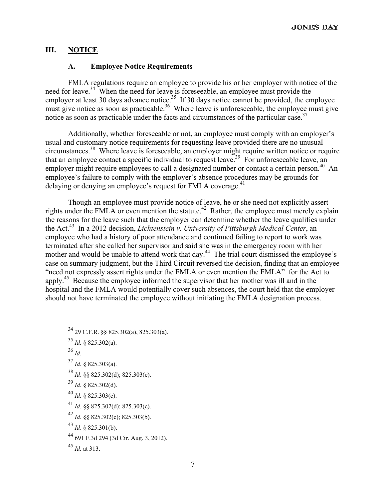# **III. NOTICE**

# **A. Employee Notice Requirements**

FMLA regulations require an employee to provide his or her employer with notice of the need for leave.<sup>34</sup> When the need for leave is foreseeable, an employee must provide the employer at least 30 days advance notice.<sup>35</sup> If 30 days notice cannot be provided, the employee must give notice as soon as practicable.<sup>36</sup> Where leave is unforeseeable, the employee must give notice as soon as practicable under the facts and circumstances of the particular case.<sup>37</sup>

Additionally, whether foreseeable or not, an employee must comply with an employer's usual and customary notice requirements for requesting leave provided there are no unusual circumstances.38 Where leave is foreseeable, an employer might require written notice or require that an employee contact a specific individual to request leave.<sup>39</sup> For unforeseeable leave, an employer might require employees to call a designated number or contact a certain person.<sup>40</sup> An employee's failure to comply with the employer's absence procedures may be grounds for delaying or denying an employee's request for FMLA coverage.<sup>41</sup>

Though an employee must provide notice of leave, he or she need not explicitly assert rights under the FMLA or even mention the statute.<sup>42</sup> Rather, the employee must merely explain the reasons for the leave such that the employer can determine whether the leave qualifies under the Act.<sup>43</sup> In a 2012 decision, *Lichtenstein v. University of Pittsburgh Medical Center*, an employee who had a history of poor attendance and continued failing to report to work was terminated after she called her supervisor and said she was in the emergency room with her mother and would be unable to attend work that day.<sup>44</sup> The trial court dismissed the employee's case on summary judgment, but the Third Circuit reversed the decision, finding that an employee "need not expressly assert rights under the FMLA or even mention the FMLA" for the Act to apply.45 Because the employee informed the supervisor that her mother was ill and in the hospital and the FMLA would potentially cover such absences, the court held that the employer should not have terminated the employee without initiating the FMLA designation process.

- 34 29 C.F.R. §§ 825.302(a), 825.303(a).  $^{35}$  *Id.* § 825.302(a).
- <sup>36</sup> *Id.* <sup>37</sup> *Id.* § 825.303(a).
- <sup>38</sup> *Id*. §§ 825.302(d); 825.303(c).
- $39$  *Id.* § 825.302(d).
- $^{40}$  *Id.* § 825.303(c).
- <sup>41</sup> *Id.* §§ 825.302(d); 825.303(c).
- <sup>42</sup> *Id.* §§ 825.302(c); 825.303(b).
- <sup>43</sup> *Id*. § 825.301(b).
- 44 691 F.3d 294 (3d Cir. Aug. 3, 2012).
- <sup>45</sup> *Id.* at 313.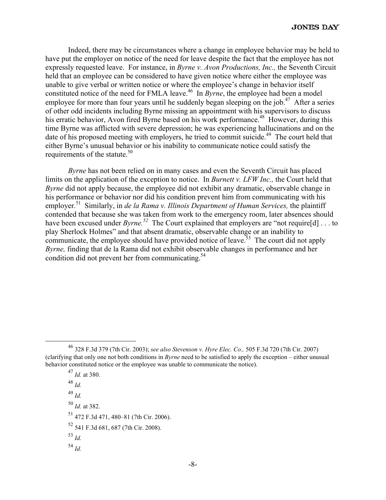Indeed, there may be circumstances where a change in employee behavior may be held to have put the employer on notice of the need for leave despite the fact that the employee has not expressly requested leave. For instance, in *Byrne v. Avon Productions, Inc.,* the Seventh Circuit held that an employee can be considered to have given notice where either the employee was unable to give verbal or written notice or where the employee's change in behavior itself constituted notice of the need for FMLA leave.<sup>46</sup> In *Byrne*, the employee had been a model employee for more than four years until he suddenly began sleeping on the job.<sup>47</sup> After a series of other odd incidents including Byrne missing an appointment with his supervisors to discuss his erratic behavior, Avon fired Byrne based on his work performance.<sup>48</sup> However, during this time Byrne was afflicted with severe depression; he was experiencing hallucinations and on the date of his proposed meeting with employers, he tried to commit suicide.<sup>49</sup> The court held that either Byrne's unusual behavior or his inability to communicate notice could satisfy the requirements of the statute. $50$ 

*Byrne* has not been relied on in many cases and even the Seventh Circuit has placed limits on the application of the exception to notice. In *Burnett v. LFW Inc.,* the Court held that *Byrne* did not apply because, the employee did not exhibit any dramatic, observable change in his performance or behavior nor did his condition prevent him from communicating with his employer.<sup>51</sup> Similarly, in *de la Rama v. Illinois Department of Human Services*, the plaintiff contended that because she was taken from work to the emergency room, later absences should have been excused under *Byrne*.<sup>52</sup> The Court explained that employers are "not require[d] . . . to play Sherlock Holmes" and that absent dramatic, observable change or an inability to communicate, the employee should have provided notice of leave.<sup>53</sup> The court did not apply *Byrne,* finding that de la Rama did not exhibit observable changes in performance and her condition did not prevent her from communicating. $54$ 

 <sup>46 328</sup> F.3d 379 (7th Cir. 2003); *see also Stevenson v. Hyre Elec. Co.,* 505 F.3d 720 (7th Cir. 2007) (clarifying that only one not both conditions in *Byrne* need to be satisfied to apply the exception – either unusual behavior constituted notice or the employee was unable to communicate the notice).

<sup>47</sup> *Id.* at 380. <sup>48</sup> *Id.*  <sup>49</sup> *Id.*  <sup>50</sup> *Id.* at 382. 51 472 F.3d 471, 480–81 (7th Cir. 2006). 52 541 F.3d 681, 687 (7th Cir. 2008).  $^{53}$  *Id.* <sup>54</sup> *Id.*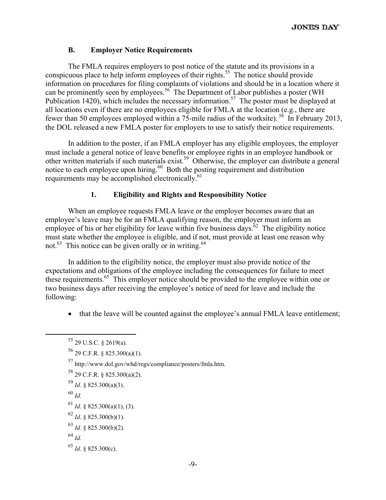# **B. Employer Notice Requirements**

The FMLA requires employers to post notice of the statute and its provisions in a conspicuous place to help inform employees of their rights.<sup>55</sup> The notice should provide information on procedures for filing complaints of violations and should be in a location where it can be prominently seen by employees.<sup>56</sup> The Department of Labor publishes a poster (WH Publication 1420), which includes the necessary information.<sup>57</sup> The poster must be displayed at all locations even if there are no employees eligible for FMLA at the location (e.g., there are fewer than 50 employees employed within a 75-mile radius of the worksite). 58 In February 2013, the DOL released a new FMLA poster for employers to use to satisfy their notice requirements.

In addition to the poster, if an FMLA employer has any eligible employees, the employer must include a general notice of leave benefits or employee rights in an employee handbook or other written materials if such materials exist.59 Otherwise, the employer can distribute a general notice to each employee upon hiring.<sup>60</sup> Both the posting requirement and distribution requirements may be accomplished electronically.<sup>61</sup>

# **1. Eligibility and Rights and Responsibility Notice**

When an employee requests FMLA leave or the employer becomes aware that an employee's leave may be for an FMLA qualifying reason, the employer must inform an employee of his or her eligibility for leave within five business days.<sup> $62$ </sup> The eligibility notice must state whether the employee is eligible, and if not, must provide at least one reason why not.<sup>63</sup> This notice can be given orally or in writing.<sup>64</sup>

In addition to the eligibility notice, the employer must also provide notice of the expectations and obligations of the employee including the consequences for failure to meet these requirements.<sup>65</sup> This employer notice should be provided to the employee within one or two business days after receiving the employee's notice of need for leave and include the following:

• that the leave will be counted against the employee's annual FMLA leave entitlement;

- 57 http://www.dol.gov/whd/regs/compliance/posters/fmla.htm.
- 58 29 C.F.R. § 825.300(a)(2).
- $^{59}$  *Id.* § 825.300(a)(3).
- <sup>60</sup> *Id.*
- $61$  *Id.* § 825.300(a)(1), (3).
- <sup>62</sup> *Id*. § 825.300(b)(1).
- <sup>63</sup> *Id.* § 825.300(b)(2).
- <sup>64</sup> *Id.*
- <sup>65</sup> *Id*. § 825.300(c).

 <sup>55 29</sup> U.S.C. § 2619(a).

 $56$  29 C.F.R. § 825.300(a)(1).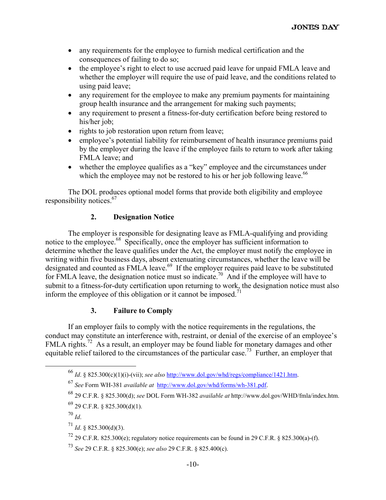- any requirements for the employee to furnish medical certification and the consequences of failing to do so;
- the employee's right to elect to use accrued paid leave for unpaid FMLA leave and whether the employer will require the use of paid leave, and the conditions related to using paid leave;
- any requirement for the employee to make any premium payments for maintaining group health insurance and the arrangement for making such payments;
- any requirement to present a fitness-for-duty certification before being restored to his/her job;
- rights to job restoration upon return from leave;
- employee's potential liability for reimbursement of health insurance premiums paid by the employer during the leave if the employee fails to return to work after taking FMLA leave; and
- whether the employee qualifies as a "key" employee and the circumstances under which the employee may not be restored to his or her job following leave.<sup>66</sup>

The DOL produces optional model forms that provide both eligibility and employee responsibility notices.<sup>67</sup>

# **2. Designation Notice**

The employer is responsible for designating leave as FMLA-qualifying and providing notice to the employee.68 Specifically, once the employer has sufficient information to determine whether the leave qualifies under the Act, the employer must notify the employee in writing within five business days, absent extenuating circumstances, whether the leave will be designated and counted as FMLA leave.<sup>69</sup> If the employer requires paid leave to be substituted for FMLA leave, the designation notice must so indicate.70 And if the employee will have to submit to a fitness-for-duty certification upon returning to work, the designation notice must also inform the employee of this obligation or it cannot be imposed.<sup>71</sup>

# **3. Failure to Comply**

If an employer fails to comply with the notice requirements in the regulations, the conduct may constitute an interference with, restraint, or denial of the exercise of an employee's FMLA rights.<sup>72</sup> As a result, an employer may be found liable for monetary damages and other equitable relief tailored to the circumstances of the particular case.<sup>73</sup> Further, an employer that

 <sup>66</sup> *Id*. § 825.300(c)(1)(i)-(vii); *see also* http://www.dol.gov/whd/regs/compliance/1421.htm.

<sup>67</sup> *See* Form WH-381 *available at* http://www.dol.gov/whd/forms/wh-381.pdf.

<sup>68 29</sup> C.F.R. § 825.300(d); *see* DOL Form WH-382 *available at* http://www.dol.gov/WHD/fmla/index.htm.

 $^{69}$  29 C.F.R. § 825.300(d)(1).

 $70$  *Id.* 

<sup>71</sup> *Id*. § 825.300(d)(3).

 $^{72}$  29 C.F.R. 825.300(e); regulatory notice requirements can be found in 29 C.F.R. § 825.300(a)-(f).

<sup>73</sup> *See* 29 C.F.R. § 825.300(e); *see also* 29 C.F.R. § 825.400(c).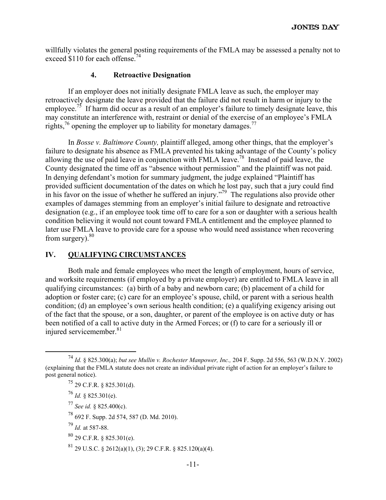willfully violates the general posting requirements of the FMLA may be assessed a penalty not to exceed \$110 for each offense.<sup>74</sup>

#### **4. Retroactive Designation**

If an employer does not initially designate FMLA leave as such, the employer may retroactively designate the leave provided that the failure did not result in harm or injury to the employee.<sup>75</sup> If harm did occur as a result of an employer's failure to timely designate leave, this may constitute an interference with, restraint or denial of the exercise of an employee's FMLA rights,<sup>76</sup> opening the employer up to liability for monetary damages.<sup>77</sup>

In *Bosse v. Baltimore County,* plaintiff alleged, among other things, that the employer's failure to designate his absence as FMLA prevented his taking advantage of the County's policy allowing the use of paid leave in conjunction with FMLA leave.78 Instead of paid leave, the County designated the time off as "absence without permission" and the plaintiff was not paid. In denying defendant's motion for summary judgment, the judge explained "Plaintiff has provided sufficient documentation of the dates on which he lost pay, such that a jury could find in his favor on the issue of whether he suffered an injury."<sup>79</sup> The regulations also provide other examples of damages stemming from an employer's initial failure to designate and retroactive designation (e.g., if an employee took time off to care for a son or daughter with a serious health condition believing it would not count toward FMLA entitlement and the employee planned to later use FMLA leave to provide care for a spouse who would need assistance when recovering from surgery). $80$ 

# **IV. QUALIFYING CIRCUMSTANCES**

Both male and female employees who meet the length of employment, hours of service, and worksite requirements (if employed by a private employer) are entitled to FMLA leave in all qualifying circumstances: (a) birth of a baby and newborn care; (b) placement of a child for adoption or foster care; (c) care for an employee's spouse, child, or parent with a serious health condition; (d) an employee's own serious health condition; (e) a qualifying exigency arising out of the fact that the spouse, or a son, daughter, or parent of the employee is on active duty or has been notified of a call to active duty in the Armed Forces; or (f) to care for a seriously ill or injured servicemember.<sup>81</sup>

 $^{76}$  *Id.* § 825.301(e).

<sup>77</sup> *See id.* § 825.400(c).

78 692 F. Supp. 2d 574, 587 (D. Md. 2010).

<sup>79</sup> *Id.* at 587-88.

 $80$  29 C.F.R. § 825.301(e).

 $81$  29 U.S.C. § 2612(a)(1), (3); 29 C.F.R. § 825.120(a)(4).

 <sup>74</sup> *Id.* § 825.300(a); *but see Mullin v. Rochester Manpower, Inc.,* 204 F. Supp. 2d 556, 563 (W.D.N.Y. 2002) (explaining that the FMLA statute does not create an individual private right of action for an employer's failure to post general notice).

 $^{75}$  29 C.F.R. § 825.301(d).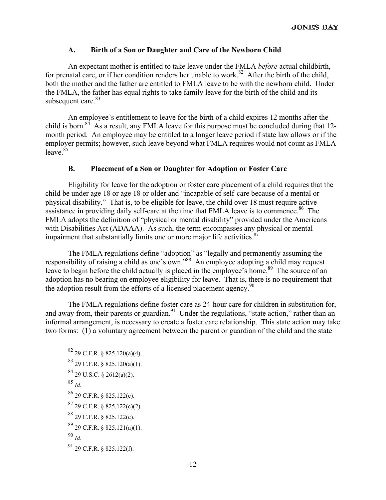# **A. Birth of a Son or Daughter and Care of the Newborn Child**

An expectant mother is entitled to take leave under the FMLA *before* actual childbirth, for prenatal care, or if her condition renders her unable to work.<sup>82</sup> After the birth of the child, both the mother and the father are entitled to FMLA leave to be with the newborn child. Under the FMLA, the father has equal rights to take family leave for the birth of the child and its subsequent care. $83$ 

An employee's entitlement to leave for the birth of a child expires 12 months after the child is born.<sup>84</sup> As a result, any FMLA leave for this purpose must be concluded during that 12month period. An employee may be entitled to a longer leave period if state law allows or if the employer permits; however, such leave beyond what FMLA requires would not count as FMLA leave. $85$ 

# **B. Placement of a Son or Daughter for Adoption or Foster Care**

Eligibility for leave for the adoption or foster care placement of a child requires that the child be under age 18 or age 18 or older and "incapable of self-care because of a mental or physical disability." That is, to be eligible for leave, the child over 18 must require active assistance in providing daily self-care at the time that FMLA leave is to commence.<sup>86</sup> The FMLA adopts the definition of "physical or mental disability" provided under the Americans with Disabilities Act (ADAAA). As such, the term encompasses any physical or mental impairment that substantially limits one or more major life activities.<sup>8</sup>

The FMLA regulations define "adoption" as "legally and permanently assuming the responsibility of raising a child as one's own."88 An employee adopting a child may request leave to begin before the child actually is placed in the employee's home.<sup>89</sup> The source of an adoption has no bearing on employee eligibility for leave. That is, there is no requirement that the adoption result from the efforts of a licensed placement agency.<sup>90</sup>

The FMLA regulations define foster care as 24-hour care for children in substitution for, and away from, their parents or guardian.<sup>91</sup> Under the regulations, "state action," rather than an informal arrangement, is necessary to create a foster care relationship. This state action may take two forms: (1) a voluntary agreement between the parent or guardian of the child and the state

- $82$  29 C.F.R. § 825.120(a)(4).
- 83 29 C.F.R. § 825.120(a)(1).
- 84 29 U.S.C. § 2612(a)(2).
- <sup>85</sup> *Id.*
- 86 29 C.F.R. § 825.122(c).
- $87$  29 C.F.R. § 825.122(c)(2).
- 88 29 C.F.R. § 825.122(e).
- 89 29 C.F.R. § 825.121(a)(1).
- <sup>90</sup> *Id.*
- 91 29 C.F.R. § 825.122(f).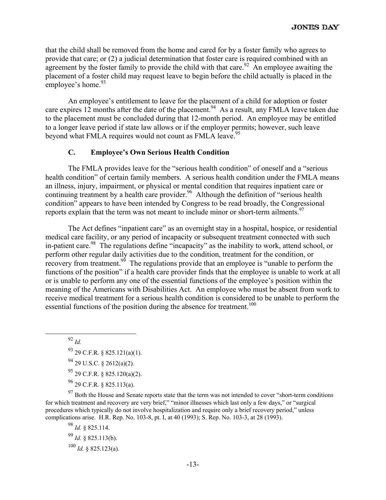that the child shall be removed from the home and cared for by a foster family who agrees to provide that care; or (2) a judicial determination that foster care is required combined with an agreement by the foster family to provide the child with that care.<sup>92</sup> An employee awaiting the placement of a foster child may request leave to begin before the child actually is placed in the employee's home.<sup>93</sup>

An employee's entitlement to leave for the placement of a child for adoption or foster care expires 12 months after the date of the placement.<sup>94</sup> As a result, any FMLA leave taken due to the placement must be concluded during that 12-month period. An employee may be entitled to a longer leave period if state law allows or if the employer permits; however, such leave beyond what FMLA requires would not count as FMLA leave.<sup>95</sup>

#### **C. Employee's Own Serious Health Condition**

The FMLA provides leave for the "serious health condition" of oneself and a "serious health condition" of certain family members. A serious health condition under the FMLA means an illness, injury, impairment, or physical or mental condition that requires inpatient care or continuing treatment by a health care provider.<sup>96</sup> Although the definition of "serious health" condition" appears to have been intended by Congress to be read broadly, the Congressional reports explain that the term was not meant to include minor or short-term ailments.<sup>97</sup>

The Act defines "inpatient care" as an overnight stay in a hospital, hospice, or residential medical care facility, or any period of incapacity or subsequent treatment connected with such in-patient care.<sup>98</sup> The regulations define "incapacity" as the inability to work, attend school, or perform other regular daily activities due to the condition, treatment for the condition, or recovery from treatment.<sup>99</sup> The regulations provide that an employee is "unable to perform the functions of the position" if a health care provider finds that the employee is unable to work at all or is unable to perform any one of the essential functions of the employee's position within the meaning of the Americans with Disabilities Act. An employee who must be absent from work to receive medical treatment for a serious health condition is considered to be unable to perform the essential functions of the position during the absence for treatment.<sup>100</sup>

92 *Id.*

 $^{93}$  29 C.F.R. § 825.121(a)(1).  $^{94}$  29 U.S.C. § 2612(a)(2).  $^{95}$  29 C.F.R. § 825.120(a)(2).

 $96$  29 C.F.R. § 825.113(a).

<sup>97</sup> Both the House and Senate reports state that the term was not intended to cover "short-term conditions" for which treatment and recovery are very brief," "minor illnesses which last only a few days," or "surgical procedures which typically do not involve hospitalization and require only a brief recovery period," unless complications arise. H.R. Rep. No. 103-8, pt. I, at 40 (1993); S. Rep. No. 103-3, at 28 (1993).

<sup>98</sup> *Id.* § 825.114. <sup>99</sup> *Id.* § 825.113(b).  $^{100}$  *Id.* § 825.123(a).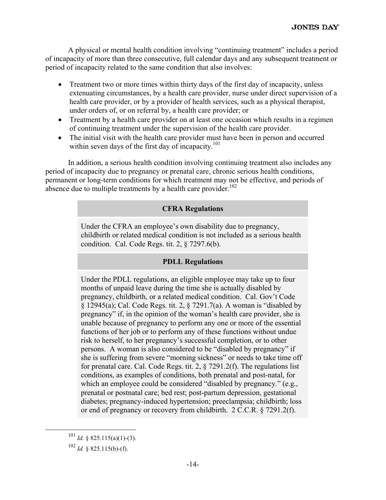A physical or mental health condition involving "continuing treatment" includes a period of incapacity of more than three consecutive, full calendar days and any subsequent treatment or period of incapacity related to the same condition that also involves:

- Treatment two or more times within thirty days of the first day of incapacity, unless extenuating circumstances, by a health care provider, nurse under direct supervision of a health care provider, or by a provider of health services, such as a physical therapist, under orders of, or on referral by, a health care provider; or
- Treatment by a health care provider on at least one occasion which results in a regimen of continuing treatment under the supervision of the health care provider.
- The initial visit with the health care provider must have been in person and occurred within seven days of the first day of incapacity.<sup>101</sup>

In addition, a serious health condition involving continuing treatment also includes any period of incapacity due to pregnancy or prenatal care, chronic serious health conditions, permanent or long-term conditions for which treatment may not be effective, and periods of absence due to multiple treatments by a health care provider.<sup>102</sup>

# **CFRA Regulations**

Under the CFRA an employee's own disability due to pregnancy, childbirth or related medical condition is not included as a serious health condition. Cal. Code Regs. tit. 2, § 7297.6(b).

# **PDLL Regulations**

Under the PDLL regulations, an eligible employee may take up to four months of unpaid leave during the time she is actually disabled by pregnancy, childbirth, or a related medical condition. Cal. Gov't Code § 12945(a); Cal. Code Regs. tit. 2, § 7291.7(a). A woman is "disabled by pregnancy" if, in the opinion of the woman's health care provider, she is unable because of pregnancy to perform any one or more of the essential functions of her job or to perform any of these functions without undue risk to herself, to her pregnancy's successful completion, or to other persons. A woman is also considered to be "disabled by pregnancy" if she is suffering from severe "morning sickness" or needs to take time off for prenatal care. Cal. Code Regs. tit. 2, § 7291.2(f). The regulations list conditions, as examples of conditions, both prenatal and post-natal, for which an employee could be considered "disabled by pregnancy." (e.g., prenatal or postnatal care; bed rest; post-partum depression, gestational diabetes; pregnancy-induced hypertension; preeclampsia; childbirth; loss or end of pregnancy or recovery from childbirth. 2 C.C.R. § 7291.2(f).

 <sup>101</sup> *Id.* § 825.115(a)(1)-(3).

 $102$  *Id.* § 825.115(b)-(f).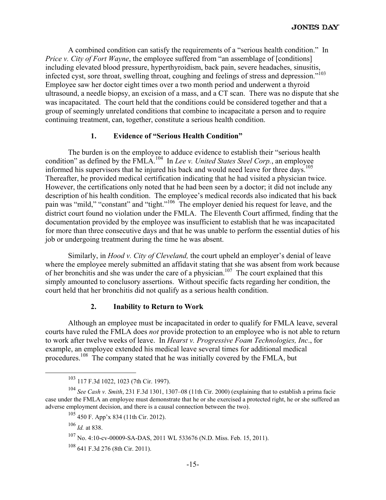A combined condition can satisfy the requirements of a "serious health condition." In *Price v. City of Fort Wayne*, the employee suffered from "an assemblage of [conditions] including elevated blood pressure, hyperthyroidism, back pain, severe headaches, sinusitis, infected cyst, sore throat, swelling throat, coughing and feelings of stress and depression."103 Employee saw her doctor eight times over a two month period and underwent a thyroid ultrasound, a needle biopsy, an excision of a mass, and a CT scan. There was no dispute that she was incapacitated. The court held that the conditions could be considered together and that a group of seemingly unrelated conditions that combine to incapacitate a person and to require continuing treatment, can, together, constitute a serious health condition.

#### **1. Evidence of "Serious Health Condition"**

The burden is on the employee to adduce evidence to establish their "serious health condition" as defined by the FMLA.<sup>104</sup> In *Lee v. United States Steel Corp.*, an employee informed his supervisors that he injured his back and would need leave for three days.105 Thereafter, he provided medical certification indicating that he had visited a physician twice. However, the certifications only noted that he had been seen by a doctor; it did not include any description of his health condition. The employee's medical records also indicated that his back pain was "mild," "constant" and "tight."<sup>106</sup> The employer denied his request for leave, and the district court found no violation under the FMLA. The Eleventh Court affirmed, finding that the documentation provided by the employee was insufficient to establish that he was incapacitated for more than three consecutive days and that he was unable to perform the essential duties of his job or undergoing treatment during the time he was absent.

Similarly, in *Hood v. City of Cleveland,* the court upheld an employer's denial of leave where the employee merely submitted an affidavit stating that she was absent from work because of her bronchitis and she was under the care of a physician.<sup>107</sup> The court explained that this simply amounted to conclusory assertions. Without specific facts regarding her condition, the court held that her bronchitis did not qualify as a serious health condition.

#### **2. Inability to Return to Work**

Although an employee must be incapacitated in order to qualify for FMLA leave, several courts have ruled the FMLA does *not* provide protection to an employee who is not able to return to work after twelve weeks of leave. In *Hearst v. Progressive Foam Technologies, Inc*., for example, an employee extended his medical leave several times for additional medical procedures.<sup>108</sup> The company stated that he was initially covered by the FMLA, but

 <sup>103 117</sup> F.3d 1022, 1023 (7th Cir. 1997).

<sup>104</sup> *See Cash v. Smith*, 231 F.3d 1301, 1307–08 (11th Cir. 2000) (explaining that to establish a prima facie case under the FMLA an employee must demonstrate that he or she exercised a protected right, he or she suffered an adverse employment decision, and there is a causal connection between the two).

<sup>105 450</sup> F. App'x 834 (11th Cir. 2012).

<sup>106</sup> *Id.* at 838.

<sup>107</sup> No. 4:10-cv-00009-SA-DAS, 2011 WL 533676 (N.D. Miss. Feb. 15, 2011).

<sup>108 641</sup> F.3d 276 (8th Cir. 2011).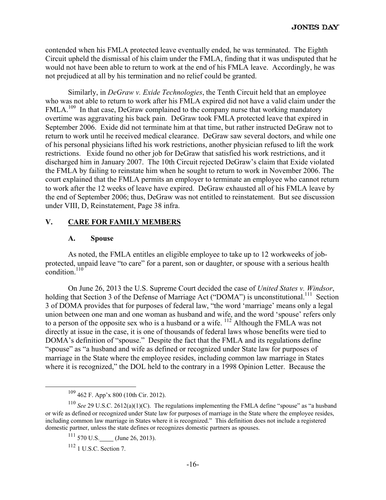contended when his FMLA protected leave eventually ended, he was terminated. The Eighth Circuit upheld the dismissal of his claim under the FMLA, finding that it was undisputed that he would not have been able to return to work at the end of his FMLA leave. Accordingly, he was not prejudiced at all by his termination and no relief could be granted.

Similarly, in *DeGraw v. Exide Technologies*, the Tenth Circuit held that an employee who was not able to return to work after his FMLA expired did not have a valid claim under the FMLA.<sup>109</sup> In that case, DeGraw complained to the company nurse that working mandatory overtime was aggravating his back pain. DeGraw took FMLA protected leave that expired in September 2006. Exide did not terminate him at that time, but rather instructed DeGraw not to return to work until he received medical clearance. DeGraw saw several doctors, and while one of his personal physicians lifted his work restrictions, another physician refused to lift the work restrictions. Exide found no other job for DeGraw that satisfied his work restrictions, and it discharged him in January 2007. The 10th Circuit rejected DeGraw's claim that Exide violated the FMLA by failing to reinstate him when he sought to return to work in November 2006. The court explained that the FMLA permits an employer to terminate an employee who cannot return to work after the 12 weeks of leave have expired. DeGraw exhausted all of his FMLA leave by the end of September 2006; thus, DeGraw was not entitled to reinstatement.But see discussion under VIII, D, Reinstatement, Page 38 infra.

#### **V. CARE FOR FAMILY MEMBERS**

#### **A. Spouse**

As noted, the FMLA entitles an eligible employee to take up to 12 workweeks of jobprotected, unpaid leave "to care" for a parent, son or daughter, or spouse with a serious health condition.<sup>110</sup>

On June 26, 2013 the U.S. Supreme Court decided the case of *United States v. Windsor*, holding that Section 3 of the Defense of Marriage Act ("DOMA") is unconstitutional.<sup>111</sup> Section 3 of DOMA provides that for purposes of federal law, "the word 'marriage' means only a legal union between one man and one woman as husband and wife, and the word 'spouse' refers only to a person of the opposite sex who is a husband or a wife. <sup>112</sup> Although the FMLA was not directly at issue in the case, it is one of thousands of federal laws whose benefits were tied to DOMA's definition of "spouse." Despite the fact that the FMLA and its regulations define "spouse" as "a husband and wife as defined or recognized under State law for purposes of marriage in the State where the employee resides, including common law marriage in States where it is recognized," the DOL held to the contrary in a 1998 Opinion Letter. Because the

 $112$  1 U.S.C. Section 7.

 <sup>109 462</sup> F. App'x 800 (10th Cir. 2012).

<sup>&</sup>lt;sup>110</sup> *See* 29 U.S.C. 2612(a)(1)(C). The regulations implementing the FMLA define "spouse" as "a husband or wife as defined or recognized under State law for purposes of marriage in the State where the employee resides, including common law marriage in States where it is recognized." This definition does not include a registered domestic partner, unless the state defines or recognizes domestic partners as spouses.

 $^{111}$  570 U.S. (June 26, 2013).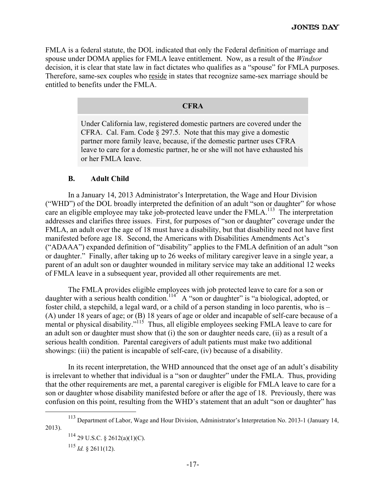FMLA is a federal statute, the DOL indicated that only the Federal definition of marriage and spouse under DOMA applies for FMLA leave entitlement. Now, as a result of the *Windsor* decision, it is clear that state law in fact dictates who qualifies as a "spouse" for FMLA purposes. Therefore, same-sex couples who reside in states that recognize same-sex marriage should be entitled to benefits under the FMLA.

#### **CFRA**

Under California law, registered domestic partners are covered under the CFRA. Cal. Fam. Code  $\S 297.5$ . Note that this may give a domestic partner more family leave, because, if the domestic partner uses CFRA leave to care for a domestic partner, he or she will not have exhausted his or her FMLA leave.

#### **B. Adult Child**

In a January 14, 2013 Administrator's Interpretation, the Wage and Hour Division ("WHD") of the DOL broadly interpreted the definition of an adult "son or daughter" for whose care an eligible employee may take job-protected leave under the  $FMLA$ <sup>113</sup>. The interpretation addresses and clarifies three issues. First, for purposes of "son or daughter" coverage under the FMLA, an adult over the age of 18 must have a disability, but that disability need not have first manifested before age 18. Second, the Americans with Disabilities Amendments Act's ("ADAAA") expanded definition of "disability" applies to the FMLA definition of an adult "son or daughter." Finally, after taking up to 26 weeks of military caregiver leave in a single year, a parent of an adult son or daughter wounded in military service may take an additional 12 weeks of FMLA leave in a subsequent year, provided all other requirements are met.

The FMLA provides eligible employees with job protected leave to care for a son or daughter with a serious health condition.<sup>114</sup> A "son or daughter" is "a biological, adopted, or foster child, a stepchild, a legal ward, or a child of a person standing in loco parentis, who is – (A) under 18 years of age; or (B) 18 years of age or older and incapable of self-care because of a mental or physical disability."<sup>115</sup> Thus, all eligible employees seeking FMLA leave to care for an adult son or daughter must show that (i) the son or daughter needs care, (ii) as a result of a serious health condition. Parental caregivers of adult patients must make two additional showings: (iii) the patient is incapable of self-care, (iv) because of a disability.

In its recent interpretation, the WHD announced that the onset age of an adult's disability is irrelevant to whether that individual is a "son or daughter" under the FMLA. Thus, providing that the other requirements are met, a parental caregiver is eligible for FMLA leave to care for a son or daughter whose disability manifested before or after the age of 18. Previously, there was confusion on this point, resulting from the WHD's statement that an adult "son or daughter" has

<sup>115</sup> *Id.* § 2611(12).

 <sup>113</sup> Department of Labor, Wage and Hour Division, Administrator's Interpretation No. 2013-1 (January 14, 2013).

 $114$  29 U.S.C. § 2612(a)(1)(C).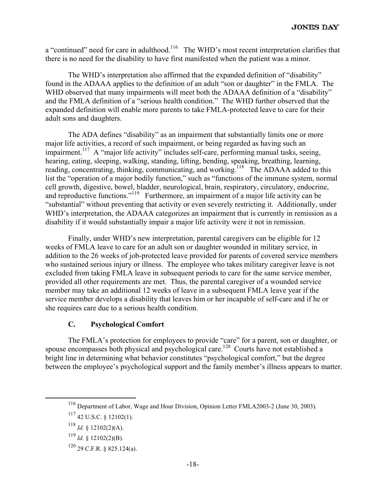a "continued" need for care in adulthood.<sup>116</sup> The WHD's most recent interpretation clarifies that there is no need for the disability to have first manifested when the patient was a minor.

The WHD's interpretation also affirmed that the expanded definition of "disability" found in the ADAAA applies to the definition of an adult "son or daughter" in the FMLA. The WHD observed that many impairments will meet both the ADAAA definition of a "disability" and the FMLA definition of a "serious health condition." The WHD further observed that the expanded definition will enable more parents to take FMLA-protected leave to care for their adult sons and daughters.

The ADA defines "disability" as an impairment that substantially limits one or more major life activities, a record of such impairment, or being regarded as having such an impairment.<sup>117</sup> A "major life activity" includes self-care, performing manual tasks, seeing, hearing, eating, sleeping, walking, standing, lifting, bending, speaking, breathing, learning, reading, concentrating, thinking, communicating, and working.<sup>118</sup> The ADAAA added to this list the "operation of a major bodily function," such as "functions of the immune system, normal cell growth, digestive, bowel, bladder, neurological, brain, respiratory, circulatory, endocrine, and reproductive functions."<sup>119</sup> Furthermore, an impairment of a major life activity can be "substantial" without preventing that activity or even severely restricting it. Additionally, under WHD's interpretation, the ADAAA categorizes an impairment that is currently in remission as a disability if it would substantially impair a major life activity were it not in remission.

Finally, under WHD's new interpretation, parental caregivers can be eligible for 12 weeks of FMLA leave to care for an adult son or daughter wounded in military service, in addition to the 26 weeks of job-protected leave provided for parents of covered service members who sustained serious injury or illness. The employee who takes military caregiver leave is not excluded from taking FMLA leave in subsequent periods to care for the same service member, provided all other requirements are met. Thus, the parental caregiver of a wounded service member may take an additional 12 weeks of leave in a subsequent FMLA leave year if the service member develops a disability that leaves him or her incapable of self-care and if he or she requires care due to a serious health condition.

#### **C. Psychological Comfort**

The FMLA's protection for employees to provide "care" for a parent, son or daughter, or spouse encompasses both physical and psychological care.<sup>120</sup> Courts have not established a bright line in determining what behavior constitutes "psychological comfort," but the degree between the employee's psychological support and the family member's illness appears to matter.

 <sup>116</sup> Department of Labor, Wage and Hour Division, Opinion Letter FMLA2003-2 (June 30, 2003).

 $117$  42 U.S.C. § 12102(1).

<sup>118</sup> *Id.* § 12102(2)(A).

 $^{119}$  *Id.* § 12102(2)(B).

<sup>120 29</sup> C.F.R. § 825.124(a).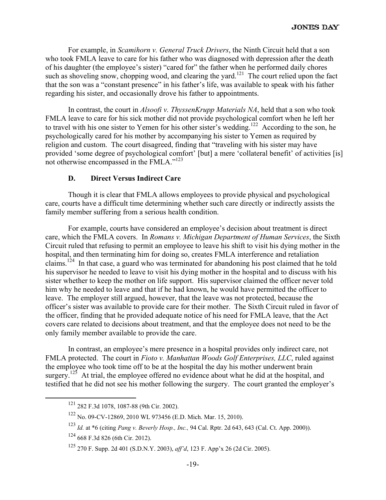For example, in *Scamihorn v. General Truck Drivers*, the Ninth Circuit held that a son who took FMLA leave to care for his father who was diagnosed with depression after the death of his daughter (the employee's sister) "cared for" the father when he performed daily chores such as shoveling snow, chopping wood, and clearing the yard.<sup>121</sup> The court relied upon the fact that the son was a "constant presence" in his father's life, was available to speak with his father regarding his sister, and occasionally drove his father to appointments.

In contrast, the court in *Alsoofi v. ThyssenKrupp Materials NA*, held that a son who took FMLA leave to care for his sick mother did not provide psychological comfort when he left her to travel with his one sister to Yemen for his other sister's wedding.<sup>122</sup> According to the son, he psychologically cared for his mother by accompanying his sister to Yemen as required by religion and custom. The court disagreed, finding that "traveling with his sister may have provided 'some degree of psychological comfort' [but] a mere 'collateral benefit' of activities [is] not otherwise encompassed in the FMLA."<sup>123</sup>

#### **D. Direct Versus Indirect Care**

Though it is clear that FMLA allows employees to provide physical and psychological care, courts have a difficult time determining whether such care directly or indirectly assists the family member suffering from a serious health condition.

For example, courts have considered an employee's decision about treatment is direct care, which the FMLA covers. In *Romans v. Michigan Department of Human Services*, the Sixth Circuit ruled that refusing to permit an employee to leave his shift to visit his dying mother in the hospital, and then terminating him for doing so, creates FMLA interference and retaliation claims.<sup>124</sup> In that case, a guard who was terminated for abandoning his post claimed that he told his supervisor he needed to leave to visit his dying mother in the hospital and to discuss with his sister whether to keep the mother on life support. His supervisor claimed the officer never told him why he needed to leave and that if he had known, he would have permitted the officer to leave. The employer still argued, however, that the leave was not protected, because the officer's sister was available to provide care for their mother. The Sixth Circuit ruled in favor of the officer, finding that he provided adequate notice of his need for FMLA leave, that the Act covers care related to decisions about treatment, and that the employee does not need to be the only family member available to provide the care.

In contrast, an employee's mere presence in a hospital provides only indirect care, not FMLA protected. The court in *Fioto v. Manhattan Woods Golf Enterprises, LLC*, ruled against the employee who took time off to be at the hospital the day his mother underwent brain surgery.<sup>125</sup> At trial, the employee offered no evidence about what he did at the hospital, and testified that he did not see his mother following the surgery. The court granted the employer's

 <sup>121 282</sup> F.3d 1078, 1087-88 (9th Cir. 2002).

<sup>122</sup> No. 09-CV-12869, 2010 WL 973456 (E.D. Mich. Mar. 15, 2010).

<sup>123</sup> *Id.* at \*6 (citing *Pang v. Beverly Hosp., Inc.,* 94 Cal. Rptr. 2d 643, 643 (Cal. Ct. App. 2000)).

<sup>124 668</sup> F.3d 826 (6th Cir. 2012).

<sup>125 270</sup> F. Supp. 2d 401 (S.D.N.Y. 2003), *aff'd*, 123 F. App'x 26 (2d Cir. 2005).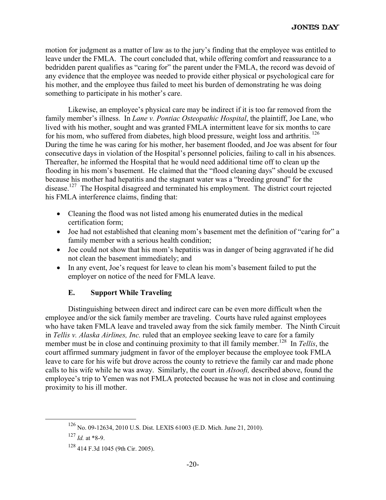motion for judgment as a matter of law as to the jury's finding that the employee was entitled to leave under the FMLA. The court concluded that, while offering comfort and reassurance to a bedridden parent qualifies as "caring for" the parent under the FMLA, the record was devoid of any evidence that the employee was needed to provide either physical or psychological care for his mother, and the employee thus failed to meet his burden of demonstrating he was doing something to participate in his mother's care.

Likewise, an employee's physical care may be indirect if it is too far removed from the family member's illness. In *Lane v. Pontiac Osteopathic Hospital*, the plaintiff, Joe Lane, who lived with his mother, sought and was granted FMLA intermittent leave for six months to care for his mom, who suffered from diabetes, high blood pressure, weight loss and arthritis.<sup>126</sup> During the time he was caring for his mother, her basement flooded, and Joe was absent for four consecutive days in violation of the Hospital's personnel policies, failing to call in his absences. Thereafter, he informed the Hospital that he would need additional time off to clean up the flooding in his mom's basement. He claimed that the "flood cleaning days" should be excused because his mother had hepatitis and the stagnant water was a "breeding ground" for the disease.<sup>127</sup> The Hospital disagreed and terminated his employment. The district court rejected his FMLA interference claims, finding that:

- Cleaning the flood was not listed among his enumerated duties in the medical certification form;
- Joe had not established that cleaning mom's basement met the definition of "caring for" a family member with a serious health condition;
- Joe could not show that his mom's hepatitis was in danger of being aggravated if he did not clean the basement immediately; and
- In any event, Joe's request for leave to clean his mom's basement failed to put the employer on notice of the need for FMLA leave.

# **E. Support While Traveling**

 Distinguishing between direct and indirect care can be even more difficult when the employee and/or the sick family member are traveling. Courts have ruled against employees who have taken FMLA leave and traveled away from the sick family member. The Ninth Circuit in *Tellis v. Alaska Airlines, Inc.* ruled that an employee seeking leave to care for a family member must be in close and continuing proximity to that ill family member.<sup>128</sup> In *Tellis*, the court affirmed summary judgment in favor of the employer because the employee took FMLA leave to care for his wife but drove across the county to retrieve the family car and made phone calls to his wife while he was away. Similarly, the court in *Alsoofi,* described above, found the employee's trip to Yemen was not FMLA protected because he was not in close and continuing proximity to his ill mother.

 <sup>126</sup> No. 09-12634, 2010 U.S. Dist. LEXIS 61003 (E.D. Mich. June 21, 2010).

 $^{127}$  *Id.* at \*8-9.

<sup>128 414</sup> F.3d 1045 (9th Cir. 2005).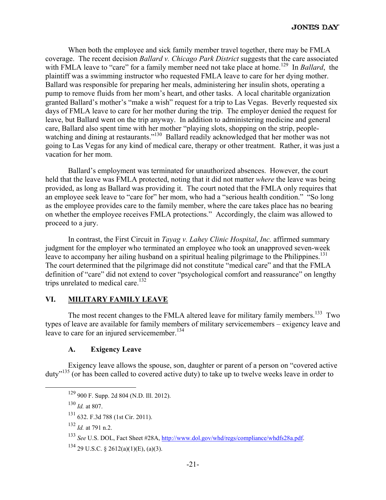When both the employee and sick family member travel together, there may be FMLA coverage. The recent decision *Ballard v. Chicago Park District* suggests that the care associated with FMLA leave to "care" for a family member need not take place at home.<sup>129</sup> In *Ballard*, the plaintiff was a swimming instructor who requested FMLA leave to care for her dying mother. Ballard was responsible for preparing her meals, administering her insulin shots, operating a pump to remove fluids from her mom's heart, and other tasks. A local charitable organization granted Ballard's mother's "make a wish" request for a trip to Las Vegas. Beverly requested six days of FMLA leave to care for her mother during the trip. The employer denied the request for leave, but Ballard went on the trip anyway. In addition to administering medicine and general care, Ballard also spent time with her mother "playing slots, shopping on the strip, peoplewatching and dining at restaurants."<sup>130</sup> Ballard readily acknowledged that her mother was not going to Las Vegas for any kind of medical care, therapy or other treatment. Rather, it was just a vacation for her mom.

Ballard's employment was terminated for unauthorized absences. However, the court held that the leave was FMLA protected, noting that it did not matter *where* the leave was being provided, as long as Ballard was providing it. The court noted that the FMLA only requires that an employee seek leave to "care for" her mom, who had a "serious health condition." "So long as the employee provides care to the family member, where the care takes place has no bearing on whether the employee receives FMLA protections." Accordingly, the claim was allowed to proceed to a jury.

In contrast, the First Circuit in *Tayag v. Lahey Clinic Hospital*, *Inc.* affirmed summary judgment for the employer who terminated an employee who took an unapproved seven-week leave to accompany her ailing husband on a spiritual healing pilgrimage to the Philippines.<sup>131</sup> The court determined that the pilgrimage did not constitute "medical care" and that the FMLA definition of "care" did not extend to cover "psychological comfort and reassurance" on lengthy trips unrelated to medical care.<sup>132</sup>

# **VI. MILITARY FAMILY LEAVE**

The most recent changes to the FMLA altered leave for military family members.<sup>133</sup> Two types of leave are available for family members of military servicemembers – exigency leave and leave to care for an injured servicemember.<sup>134</sup>

#### **A. Exigency Leave**

Exigency leave allows the spouse, son, daughter or parent of a person on "covered active duty"135 (or has been called to covered active duty) to take up to twelve weeks leave in order to

 <sup>129 900</sup> F. Supp. 2d 804 (N.D. Ill. 2012).

<sup>130</sup> *Id.* at 807.

<sup>131 632.</sup> F.3d 788 (1st Cir. 2011).

<sup>132</sup> *Id.* at 791 n.2.

<sup>133</sup> *See* U.S. DOL, Fact Sheet #28A, http://www.dol.gov/whd/regs/compliance/whdfs28a.pdf.

 $134$  29 U.S.C. § 2612(a)(1)(E), (a)(3).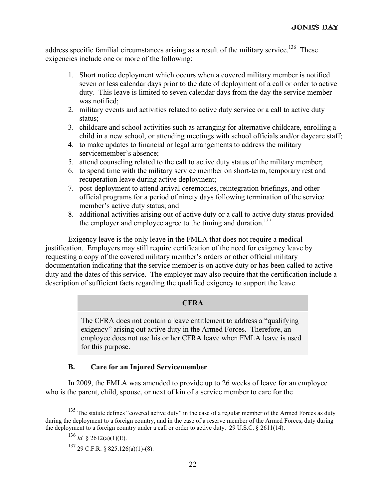address specific familial circumstances arising as a result of the military service.<sup>136</sup> These exigencies include one or more of the following:

- 1. Short notice deployment which occurs when a covered military member is notified seven or less calendar days prior to the date of deployment of a call or order to active duty. This leave is limited to seven calendar days from the day the service member was notified;
- 2. military events and activities related to active duty service or a call to active duty status;
- 3. childcare and school activities such as arranging for alternative childcare, enrolling a child in a new school, or attending meetings with school officials and/or daycare staff;
- 4. to make updates to financial or legal arrangements to address the military servicemember's absence;
- 5. attend counseling related to the call to active duty status of the military member;
- 6. to spend time with the military service member on short-term, temporary rest and recuperation leave during active deployment;
- 7. post-deployment to attend arrival ceremonies, reintegration briefings, and other official programs for a period of ninety days following termination of the service member's active duty status; and
- 8. additional activities arising out of active duty or a call to active duty status provided the employer and employee agree to the timing and duration.<sup>137</sup>

Exigency leave is the only leave in the FMLA that does not require a medical justification. Employers may still require certification of the need for exigency leave by requesting a copy of the covered military member's orders or other official military documentation indicating that the service member is on active duty or has been called to active duty and the dates of this service. The employer may also require that the certification include a description of sufficient facts regarding the qualified exigency to support the leave.

#### **CFRA**

The CFRA does not contain a leave entitlement to address a "qualifying exigency" arising out active duty in the Armed Forces. Therefore, an employee does not use his or her CFRA leave when FMLA leave is used for this purpose.

# **B. Care for an Injured Servicemember**

In 2009, the FMLA was amended to provide up to 26 weeks of leave for an employee who is the parent, child, spouse, or next of kin of a service member to care for the

<sup>&</sup>lt;sup>135</sup> The statute defines "covered active duty" in the case of a regular member of the Armed Forces as duty during the deployment to a foreign country, and in the case of a reserve member of the Armed Forces, duty during the deployment to a foreign country under a call or order to active duty. 29 U.S.C. § 2611(14).

<sup>136</sup> *Id.* § 2612(a)(1)(E).

<sup>137 29</sup> C.F.R. § 825.126(a)(1)-(8).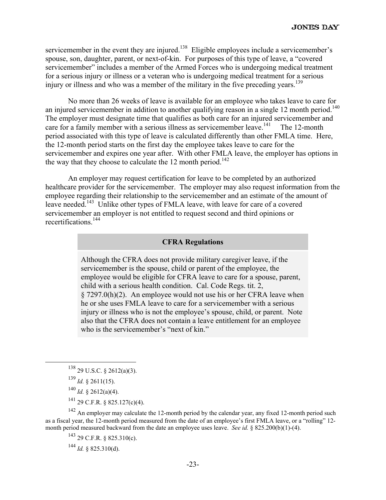servicemember in the event they are injured.<sup>138</sup> Eligible employees include a servicemember's spouse, son, daughter, parent, or next-of-kin. For purposes of this type of leave, a "covered servicemember" includes a member of the Armed Forces who is undergoing medical treatment for a serious injury or illness or a veteran who is undergoing medical treatment for a serious injury or illness and who was a member of the military in the five preceding years.<sup>139</sup>

No more than 26 weeks of leave is available for an employee who takes leave to care for an injured servicemember in addition to another qualifying reason in a single 12 month period.<sup>140</sup> The employer must designate time that qualifies as both care for an injured servicemember and care for a family member with a serious illness as servicemember leave.<sup>141</sup> The 12-month period associated with this type of leave is calculated differently than other FMLA time. Here, the 12-month period starts on the first day the employee takes leave to care for the servicemember and expires one year after. With other FMLA leave, the employer has options in the way that they choose to calculate the 12 month period.<sup>142</sup>

An employer may request certification for leave to be completed by an authorized healthcare provider for the servicemember. The employer may also request information from the employee regarding their relationship to the servicemember and an estimate of the amount of leave needed.<sup>143</sup> Unlike other types of FMLA leave, with leave for care of a covered servicemember an employer is not entitled to request second and third opinions or recertifications.144

#### **CFRA Regulations**

Although the CFRA does not provide military caregiver leave, if the servicemember is the spouse, child or parent of the employee, the employee would be eligible for CFRA leave to care for a spouse, parent, child with a serious health condition. Cal. Code Regs. tit. 2, § 7297.0(h)(2). An employee would not use his or her CFRA leave when he or she uses FMLA leave to care for a servicemember with a serious injury or illness who is not the employee's spouse, child, or parent. Note also that the CFRA does not contain a leave entitlement for an employee who is the servicemember's "next of kin."

- $^{140}$  *Id.* § 2612(a)(4).
- $^{141}$  29 C.F.R. § 825.127(c)(4).

<sup>142</sup> An employer may calculate the 12-month period by the calendar year, any fixed 12-month period such as a fiscal year, the 12-month period measured from the date of an employee's first FMLA leave, or a "rolling" 12 month period measured backward from the date an employee uses leave. *See id.* § 825.200(b)(1)-(4).

143 29 C.F.R. § 825.310(c).

 $^{144}$  *Id.* § 825.310(d).

 $138$  29 U.S.C. § 2612(a)(3).

<sup>139</sup> *Id.* § 2611(15).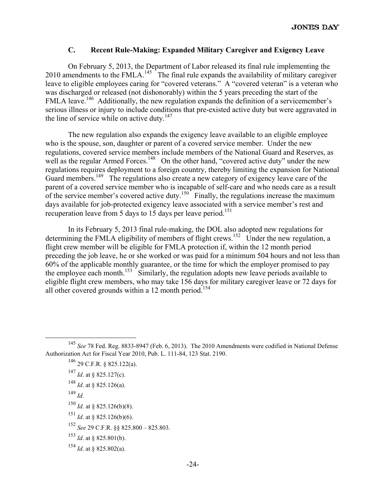#### **C. Recent Rule-Making: Expanded Military Caregiver and Exigency Leave**

On February 5, 2013, the Department of Labor released its final rule implementing the 2010 amendments to the FMLA.<sup>145</sup> The final rule expands the availability of military caregiver leave to eligible employees caring for "covered veterans." A "covered veteran" is a veteran who was discharged or released (not dishonorably) within the 5 years preceding the start of the FMLA leave.<sup>146</sup> Additionally, the new regulation expands the definition of a servicemember's serious illness or injury to include conditions that pre-existed active duty but were aggravated in the line of service while on active duty. $147$ 

The new regulation also expands the exigency leave available to an eligible employee who is the spouse, son, daughter or parent of a covered service member. Under the new regulations, covered service members include members of the National Guard and Reserves, as well as the regular Armed Forces.<sup>148</sup> On the other hand, "covered active duty" under the new regulations requires deployment to a foreign country, thereby limiting the expansion for National Guard members.<sup>149</sup> The regulations also create a new category of exigency leave care of the parent of a covered service member who is incapable of self-care and who needs care as a result of the service member's covered active duty.<sup>150</sup> Finally, the regulations increase the maximum days available for job-protected exigency leave associated with a service member's rest and recuperation leave from 5 days to 15 days per leave period.<sup>151</sup>

In its February 5, 2013 final rule-making, the DOL also adopted new regulations for determining the FMLA eligibility of members of flight crews.<sup>152</sup> Under the new regulation, a flight crew member will be eligible for FMLA protection if, within the 12 month period preceding the job leave, he or she worked or was paid for a minimum 504 hours and not less than 60% of the applicable monthly guarantee, or the time for which the employer promised to pay the employee each month.<sup>153</sup> Similarly, the regulation adopts new leave periods available to eligible flight crew members, who may take 156 days for military caregiver leave or 72 days for all other covered grounds within a 12 month period.<sup>154</sup>

146 29 C.F.R. § 825.122(a). <sup>147</sup> *Id*. at § 825.127(c).

- $^{149}$  *Id*.
- <sup>150</sup> *Id.* at § 825.126(b)(8).
- <sup>151</sup> *Id*. at § 825.126(b)(6).
- <sup>152</sup> *See* 29 C.F.R. §§ 825.800 825.803.
- <sup>153</sup> *Id*. at § 825.801(b).
- <sup>154</sup> *Id*. at § 825.802(a).

 <sup>145</sup> *See* 78 Fed. Reg. 8833-8947 (Feb. 6, 2013). The 2010 Amendments were codified in National Defense Authorization Act for Fiscal Year 2010, Pub. L. 111-84, 123 Stat. 2190.

<sup>148</sup> *Id*. at § 825.126(a).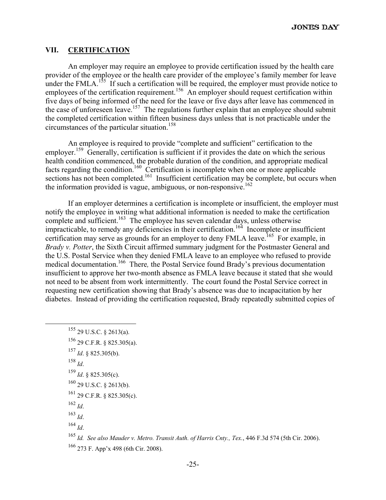#### **VII. CERTIFICATION**

An employer may require an employee to provide certification issued by the health care provider of the employee or the health care provider of the employee's family member for leave under the FMLA.<sup>155</sup> If such a certification will be required, the employer must provide notice to employees of the certification requirement.<sup>156</sup> An employer should request certification within five days of being informed of the need for the leave or five days after leave has commenced in the case of unforeseen leave.<sup>157</sup> The regulations further explain that an employee should submit the completed certification within fifteen business days unless that is not practicable under the circumstances of the particular situation.158

An employee is required to provide "complete and sufficient" certification to the employer.<sup>159</sup> Generally, certification is sufficient if it provides the date on which the serious health condition commenced, the probable duration of the condition, and appropriate medical facts regarding the condition.<sup>160</sup> Certification is incomplete when one or more applicable sections has not been completed.<sup>161</sup> Insufficient certification may be complete, but occurs when the information provided is vague, ambiguous, or non-responsive.<sup>162</sup>

If an employer determines a certification is incomplete or insufficient, the employer must notify the employee in writing what additional information is needed to make the certification complete and sufficient.<sup>163</sup> The employee has seven calendar days, unless otherwise impracticable, to remedy any deficiencies in their certification.<sup>164</sup> Incomplete or insufficient certification may serve as grounds for an employer to deny FMLA leave.<sup>165</sup> For example, in *Brady v. Potter*, the Sixth Circuit affirmed summary judgment for the Postmaster General and the U.S. Postal Service when they denied FMLA leave to an employee who refused to provide medical documentation.166 There*,* the Postal Service found Brady's previous documentation insufficient to approve her two-month absence as FMLA leave because it stated that she would not need to be absent from work intermittently. The court found the Postal Service correct in requesting new certification showing that Brady's absence was due to incapacitation by her diabetes. Instead of providing the certification requested, Brady repeatedly submitted copies of

 155 29 U.S.C. § 2613(a). 156 29 C.F.R. § 825.305(a). <sup>157</sup> *Id*. § 825.305(b). <sup>158</sup> *Id*. <sup>159</sup> *Id*. § 825.305(c).  $160$  29 U.S.C. § 2613(b). 161 29 C.F.R. § 825.305(c). <sup>162</sup> *Id*. <sup>163</sup> *Id*.  $^{164}$  *Id.* 

<sup>165</sup> *Id. See also Mauder v. Metro. Transit Auth. of Harris Cnty., Tex.*, 446 F.3d 574 (5th Cir. 2006). 166 273 F. App'x 498 (6th Cir. 2008).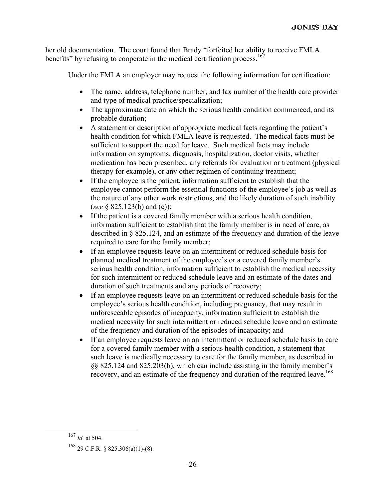her old documentation. The court found that Brady "forfeited her ability to receive FMLA benefits" by refusing to cooperate in the medical certification process.<sup>167</sup>

Under the FMLA an employer may request the following information for certification:

- The name, address, telephone number, and fax number of the health care provider and type of medical practice/specialization;
- The approximate date on which the serious health condition commenced, and its probable duration;
- A statement or description of appropriate medical facts regarding the patient's health condition for which FMLA leave is requested. The medical facts must be sufficient to support the need for leave. Such medical facts may include information on symptoms, diagnosis, hospitalization, doctor visits, whether medication has been prescribed, any referrals for evaluation or treatment (physical therapy for example), or any other regimen of continuing treatment;
- If the employee is the patient, information sufficient to establish that the employee cannot perform the essential functions of the employee's job as well as the nature of any other work restrictions, and the likely duration of such inability (*see* § 825.123(b) and (c));
- If the patient is a covered family member with a serious health condition, information sufficient to establish that the family member is in need of care, as described in § 825.124, and an estimate of the frequency and duration of the leave required to care for the family member;
- If an employee requests leave on an intermittent or reduced schedule basis for planned medical treatment of the employee's or a covered family member's serious health condition, information sufficient to establish the medical necessity for such intermittent or reduced schedule leave and an estimate of the dates and duration of such treatments and any periods of recovery;
- If an employee requests leave on an intermittent or reduced schedule basis for the employee's serious health condition, including pregnancy, that may result in unforeseeable episodes of incapacity, information sufficient to establish the medical necessity for such intermittent or reduced schedule leave and an estimate of the frequency and duration of the episodes of incapacity; and
- If an employee requests leave on an intermittent or reduced schedule basis to care for a covered family member with a serious health condition, a statement that such leave is medically necessary to care for the family member, as described in §§ 825.124 and 825.203(b), which can include assisting in the family member's recovery, and an estimate of the frequency and duration of the required leave.<sup>168</sup>

 <sup>167</sup> *Id.* at 504.

 $168$  29 C.F.R. § 825.306(a)(1)-(8).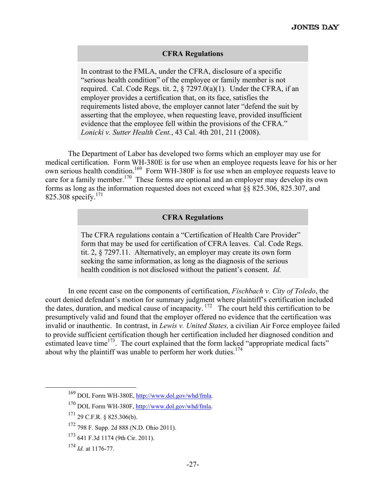# **CFRA Regulations**

In contrast to the FMLA, under the CFRA, disclosure of a specific "serious health condition" of the employee or family member is not required. Cal. Code Regs. tit. 2,  $\S$  7297.0(a)(1). Under the CFRA, if an employer provides a certification that, on its face, satisfies the requirements listed above, the employer cannot later "defend the suit by asserting that the employee, when requesting leave, provided insufficient evidence that the employee fell within the provisions of the CFRA." *Lonicki v. Sutter Health Cent.*, 43 Cal. 4th 201, 211 (2008).

The Department of Labor has developed two forms which an employer may use for medical certification. Form WH-380E is for use when an employee requests leave for his or her own serious health condition.169 Form WH-380F is for use when an employee requests leave to care for a family member.<sup>170</sup> These forms are optional and an employer may develop its own forms as long as the information requested does not exceed what §§ 825.306, 825.307, and 825.308 specify.<sup>171</sup>

# **CFRA Regulations**

The CFRA regulations contain a "Certification of Health Care Provider" form that may be used for certification of CFRA leaves. Cal. Code Regs. tit. 2, § 7297.11. Alternatively, an employer may create its own form seeking the same information, as long as the diagnosis of the serious health condition is not disclosed without the patient's consent. *Id.*

In one recent case on the components of certification, *Fischbach v. City of Toledo*, the court denied defendant's motion for summary judgment where plaintiff's certification included the dates, duration, and medical cause of incapacity.<sup>172</sup> The court held this certification to be presumptively valid and found that the employer offered no evidence that the certification was invalid or inauthentic. In contrast, in *Lewis v. United States,* a civilian Air Force employee failed to provide sufficient certification though her certification included her diagnosed condition and estimated leave time<sup>173</sup>. The court explained that the form lacked "appropriate medical facts" about why the plaintiff was unable to perform her work duties.<sup>174</sup>

 <sup>169</sup> DOL Form WH-380E, http://www.dol.gov/whd/fmla.

<sup>170</sup> DOL Form WH-380F, http://www.dol.gov/whd/fmla.

<sup>171 29</sup> C.F.R. § 825.306(b).

<sup>172 798</sup> F. Supp. 2d 888 (N.D. Ohio 2011).

<sup>173 641</sup> F.3d 1174 (9th Cir. 2011).

<sup>174</sup> *Id.* at 1176-77.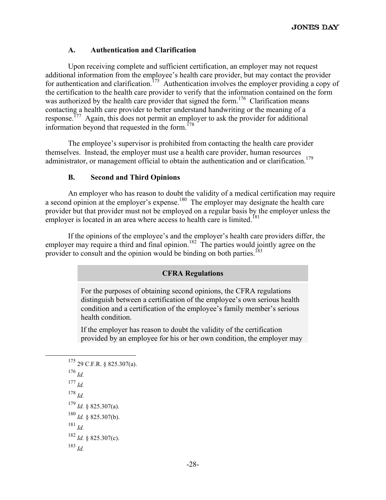# **A. Authentication and Clarification**

Upon receiving complete and sufficient certification, an employer may not request additional information from the employee's health care provider, but may contact the provider for authentication and clarification.<sup>175</sup> Authentication involves the employer providing a copy of the certification to the health care provider to verify that the information contained on the form was authorized by the health care provider that signed the form.<sup>176</sup> Clarification means contacting a health care provider to better understand handwriting or the meaning of a response.<sup>177</sup> Again, this does not permit an employer to ask the provider for additional information beyond that requested in the form.<sup>178</sup>

The employee's supervisor is prohibited from contacting the health care provider themselves. Instead, the employer must use a health care provider, human resources administrator, or management official to obtain the authentication and or clarification.<sup>179</sup>

#### **B. Second and Third Opinions**

An employer who has reason to doubt the validity of a medical certification may require a second opinion at the employer's expense.<sup>180</sup> The employer may designate the health care provider but that provider must not be employed on a regular basis by the employer unless the employer is located in an area where access to health care is limited.<sup>181</sup>

If the opinions of the employee's and the employer's health care providers differ, the employer may require a third and final opinion.<sup>182</sup> The parties would jointly agree on the provider to consult and the opinion would be binding on both parties.<sup>183</sup>

#### **CFRA Regulations**

For the purposes of obtaining second opinions, the CFRA regulations distinguish between a certification of the employee's own serious health condition and a certification of the employee's family member's serious health condition.

If the employer has reason to doubt the validity of the certification provided by an employee for his or her own condition, the employer may

 175 29 C.F.R. § 825.307(a).  $^{176}$  *Id.* <sup>177</sup> *Id.*  $^{178}$  *Id*. <sup>179</sup> *Id.* § 825.307(a).  $180$  *Id.* § 825.307(b). <sup>181</sup> *Id.*  $182$  *Id.* § 825.307(c). <sup>183</sup> *Id.*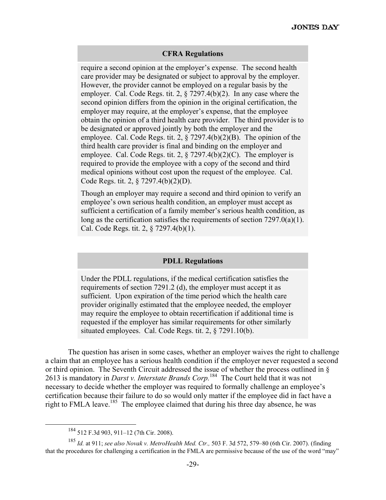#### **CFRA Regulations**

require a second opinion at the employer's expense. The second health care provider may be designated or subject to approval by the employer. However, the provider cannot be employed on a regular basis by the employer. Cal. Code Regs. tit. 2, § 7297.4(b)(2). In any case where the second opinion differs from the opinion in the original certification, the employer may require, at the employer's expense, that the employee obtain the opinion of a third health care provider. The third provider is to be designated or approved jointly by both the employer and the employee. Cal. Code Regs. tit. 2, § 7297.4(b)(2)(B). The opinion of the third health care provider is final and binding on the employer and employee. Cal. Code Regs. tit. 2,  $\S$  7297.4(b)(2)(C). The employer is required to provide the employee with a copy of the second and third medical opinions without cost upon the request of the employee. Cal. Code Regs. tit. 2, § 7297.4(b)(2)(D).

Though an employer may require a second and third opinion to verify an employee's own serious health condition, an employer must accept as sufficient a certification of a family member's serious health condition, as long as the certification satisfies the requirements of section 7297.0(a)(1). Cal. Code Regs. tit. 2, § 7297.4(b)(1). 

#### **PDLL Regulations**

Under the PDLL regulations, if the medical certification satisfies the requirements of section 7291.2 (d), the employer must accept it as sufficient. Upon expiration of the time period which the health care provider originally estimated that the employee needed, the employer may require the employee to obtain recertification if additional time is requested if the employer has similar requirements for other similarly situated employees. Cal. Code Regs. tit. 2, § 7291.10(b).

The question has arisen in some cases, whether an employer waives the right to challenge a claim that an employee has a serious health condition if the employer never requested a second or third opinion. The Seventh Circuit addressed the issue of whether the process outlined in § 2613 is mandatory in *Darst v. Interstate Brands Corp.*184 The Court held that it was not necessary to decide whether the employer was required to formally challenge an employee's certification because their failure to do so would only matter if the employee did in fact have a right to FMLA leave.<sup>185</sup> The employee claimed that during his three day absence, he was

 <sup>184 512</sup> F.3d 903, 911–12 (7th Cir. 2008).

<sup>185</sup> *Id.* at 911; *see also Novak v. MetroHealth Med. Ctr.,* 503 F. 3d 572, 579–80 (6th Cir. 2007). (finding that the procedures for challenging a certification in the FMLA are permissive because of the use of the word "may"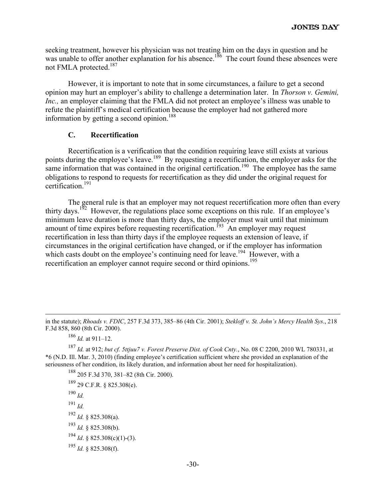seeking treatment, however his physician was not treating him on the days in question and he was unable to offer another explanation for his absence.<sup>186</sup> The court found these absences were not FMLA protected.<sup>187</sup>

However, it is important to note that in some circumstances, a failure to get a second opinion may hurt an employer's ability to challenge a determination later. In *Thorson v. Gemini, Inc.*, an employer claiming that the FMLA did not protect an employee's illness was unable to refute the plaintiff's medical certification because the employer had not gathered more information by getting a second opinion.<sup>188</sup>

#### **C. Recertification**

Recertification is a verification that the condition requiring leave still exists at various points during the employee's leave.<sup>189</sup> By requesting a recertification, the employer asks for the same information that was contained in the original certification.<sup>190</sup> The employee has the same obligations to respond to requests for recertification as they did under the original request for certification<sup>191</sup>

The general rule is that an employer may not request recertification more often than every thirty days.<sup>192</sup> However, the regulations place some exceptions on this rule. If an employee's minimum leave duration is more than thirty days, the employer must wait until that minimum amount of time expires before requesting recertification.<sup>193</sup> An employer may request recertification in less than thirty days if the employee requests an extension of leave, if circumstances in the original certification have changed, or if the employer has information which casts doubt on the employee's continuing need for leave.<sup>194</sup> However, with a recertification an employer cannot require second or third opinions.<sup>195</sup>

<sup>186</sup> *Id.* at 911–12.

188 205 F.3d 370, 381–82 (8th Cir. 2000).

189 29 C.F.R. § 825.308(e).

<sup>190</sup> *Id.*

<sup>191</sup> *Id.*

<sup>192</sup> *Id.* § 825.308(a).

<sup>193</sup> *Id.* § 825.308(b).

<sup>194</sup> *Id*. § 825.308(c)(1)-(3).

<sup>195</sup> *Id.* § 825.308(f).

in the statute); *Rhoads v. FDIC*, 257 F.3d 373, 385–86 (4th Cir. 2001); *Stekloff v. St. John's Mercy Health Sys*., 218 F.3d 858, 860 (8th Cir. 2000).

<sup>187</sup> *Id.* at 912; *but cf. 5ttjuu7 v. Forest Preserve Dist. of Cook Cnty.*, No. 08 C 2200, 2010 WL 780331, at \*6 (N.D. Ill. Mar. 3, 2010) (finding employee's certification sufficient where she provided an explanation of the seriousness of her condition, its likely duration, and information about her need for hospitalization).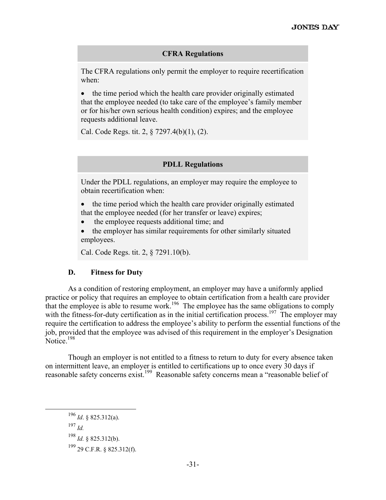#### **CFRA Regulations**

The CFRA regulations only permit the employer to require recertification when:

• the time period which the health care provider originally estimated that the employee needed (to take care of the employee's family member or for his/her own serious health condition) expires; and the employee requests additional leave.

Cal. Code Regs. tit. 2, § 7297.4(b)(1), (2).

#### **PDLL Regulations**

Under the PDLL regulations, an employer may require the employee to obtain recertification when:

- the time period which the health care provider originally estimated that the employee needed (for her transfer or leave) expires;
- the employee requests additional time; and
- the employer has similar requirements for other similarly situated employees.

Cal. Code Regs. tit. 2, § 7291.10(b).

#### **D. Fitness for Duty**

As a condition of restoring employment, an employer may have a uniformly applied practice or policy that requires an employee to obtain certification from a health care provider that the employee is able to resume work.<sup>196</sup> The employee has the same obligations to comply with the fitness-for-duty certification as in the initial certification process.<sup>197</sup> The employer may require the certification to address the employee's ability to perform the essential functions of the job, provided that the employee was advised of this requirement in the employer's Designation Notice.<sup>198</sup>

Though an employer is not entitled to a fitness to return to duty for every absence taken on intermittent leave, an employer is entitled to certifications up to once every 30 days if reasonable safety concerns exist.199 Reasonable safety concerns mean a "reasonable belief of

 196 *Id*. § 825.312(a). <sup>197</sup> *Id.* <sup>198</sup> *Id.* § 825.312(b). 199 29 C.F.R. § 825.312(f).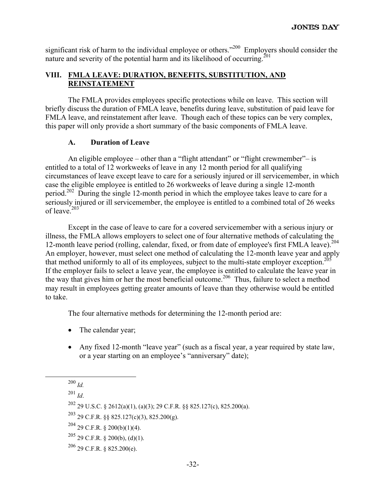significant risk of harm to the individual employee or others."<sup>200</sup> Employers should consider the nature and severity of the potential harm and its likelihood of occurring.<sup>201</sup>

# **VIII. FMLA LEAVE: DURATION, BENEFITS, SUBSTITUTION, AND REINSTATEMENT**

The FMLA provides employees specific protections while on leave. This section will briefly discuss the duration of FMLA leave, benefits during leave, substitution of paid leave for FMLA leave, and reinstatement after leave. Though each of these topics can be very complex, this paper will only provide a short summary of the basic components of FMLA leave.

#### **A. Duration of Leave**

An eligible employee – other than a "flight attendant" or "flight crewmember"– is entitled to a total of 12 workweeks of leave in any 12 month period for all qualifying circumstances of leave except leave to care for a seriously injured or ill servicemember, in which case the eligible employee is entitled to 26 workweeks of leave during a single 12-month period.<sup>202</sup> During the single 12-month period in which the employee takes leave to care for a seriously injured or ill servicemember, the employee is entitled to a combined total of 26 weeks of leave. $203$ 

Except in the case of leave to care for a covered servicemember with a serious injury or illness, the FMLA allows employers to select one of four alternative methods of calculating the 12-month leave period (rolling, calendar, fixed, or from date of employee's first FMLA leave).<sup>204</sup> An employer, however, must select one method of calculating the 12-month leave year and apply that method uniformly to all of its employees, subject to the multi-state employer exception.<sup>2</sup> If the employer fails to select a leave year, the employee is entitled to calculate the leave year in the way that gives him or her the most beneficial outcome.<sup>206</sup> Thus, failure to select a method may result in employees getting greater amounts of leave than they otherwise would be entitled to take.

The four alternative methods for determining the 12-month period are:

- The calendar year;
- Any fixed 12-month "leave year" (such as a fiscal year, a year required by state law, or a year starting on an employee's "anniversary" date);

204 29 C.F.R. § 200(b)(1)(4).

 $^{206}$  29 C.F.R. § 825.200(e).

 <sup>200</sup> *Id.* 

<sup>201</sup> *Id*.

<sup>&</sup>lt;sup>202</sup> 29 U.S.C. § 2612(a)(1), (a)(3); 29 C.F.R. §§ 825.127(c), 825.200(a).

 $^{203}$  29 C.F.R. §§ 825.127(c)(3), 825.200(g).

 $205$  29 C.F.R. § 200(b), (d)(1).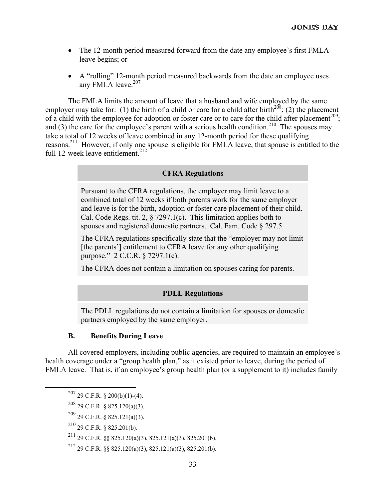- The 12-month period measured forward from the date any employee's first FMLA leave begins; or
- A "rolling" 12-month period measured backwards from the date an employee uses any FMLA leave. $207$

The FMLA limits the amount of leave that a husband and wife employed by the same employer may take for: (1) the birth of a child or care for a child after birth<sup>208</sup>; (2) the placement of a child with the employee for adoption or foster care or to care for the child after placement<sup>209</sup>; and (3) the care for the employee's parent with a serious health condition.<sup>210</sup> The spouses may take a total of 12 weeks of leave combined in any 12-month period for these qualifying reasons.211 However, if only one spouse is eligible for FMLA leave, that spouse is entitled to the full 12-week leave entitlement. $^{212}$ 

# **CFRA Regulations**

Pursuant to the CFRA regulations, the employer may limit leave to a combined total of 12 weeks if both parents work for the same employer and leave is for the birth, adoption or foster care placement of their child. Cal. Code Regs. tit. 2,  $\S$  7297.1(c). This limitation applies both to spouses and registered domestic partners. Cal. Fam. Code § 297.5.

The CFRA regulations specifically state that the "employer may not limit [the parents'] entitlement to CFRA leave for any other qualifying purpose." 2 C.C.R. § 7297.1(c).

The CFRA does not contain a limitation on spouses caring for parents.

#### **PDLL Regulations**

The PDLL regulations do not contain a limitation for spouses or domestic partners employed by the same employer.

#### **B. Benefits During Leave**

All covered employers, including public agencies, are required to maintain an employee's health coverage under a "group health plan," as it existed prior to leave, during the period of FMLA leave. That is, if an employee's group health plan (or a supplement to it) includes family

210 29 C.F.R. § 825.201(b).

 $207$  29 C.F.R. § 200(b)(1)-(4).

<sup>208 29</sup> C.F.R. § 825.120(a)(3).

<sup>209 29</sup> C.F.R. § 825.121(a)(3).

<sup>211 29</sup> C.F.R. §§ 825.120(a)(3), 825.121(a)(3), 825.201(b).

<sup>&</sup>lt;sup>212</sup> 29 C.F.R. §§ 825.120(a)(3), 825.121(a)(3), 825.201(b).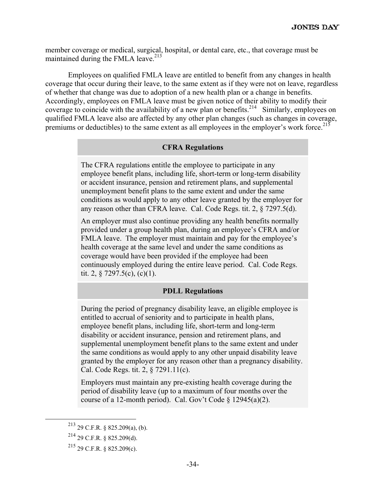member coverage or medical, surgical, hospital, or dental care, etc., that coverage must be maintained during the FMLA leave.<sup>213</sup>

Employees on qualified FMLA leave are entitled to benefit from any changes in health coverage that occur during their leave, to the same extent as if they were not on leave, regardless of whether that change was due to adoption of a new health plan or a change in benefits. Accordingly, employees on FMLA leave must be given notice of their ability to modify their coverage to coincide with the availability of a new plan or benefits.<sup>214</sup> Similarly, employees on qualified FMLA leave also are affected by any other plan changes (such as changes in coverage, premiums or deductibles) to the same extent as all employees in the employer's work force.<sup>215</sup>

#### **CFRA Regulations**

The CFRA regulations entitle the employee to participate in any employee benefit plans, including life, short-term or long-term disability or accident insurance, pension and retirement plans, and supplemental unemployment benefit plans to the same extent and under the same conditions as would apply to any other leave granted by the employer for any reason other than CFRA leave. Cal. Code Regs. tit. 2, § 7297.5(d).

An employer must also continue providing any health benefits normally provided under a group health plan, during an employee's CFRA and/or FMLA leave. The employer must maintain and pay for the employee's health coverage at the same level and under the same conditions as coverage would have been provided if the employee had been continuously employed during the entire leave period. Cal. Code Regs. tit. 2,  $\S$  7297.5(c), (c)(1).

# **PDLL Regulations**

During the period of pregnancy disability leave, an eligible employee is entitled to accrual of seniority and to participate in health plans, employee benefit plans, including life, short-term and long-term disability or accident insurance, pension and retirement plans, and supplemental unemployment benefit plans to the same extent and under the same conditions as would apply to any other unpaid disability leave granted by the employer for any reason other than a pregnancy disability. Cal. Code Regs. tit. 2, § 7291.11(c).

Employers must maintain any pre-existing health coverage during the period of disability leave (up to a maximum of four months over the course of a 12-month period). Cal. Gov't Code  $\frac{12945(a)(2)}{2}$ .

 <sup>213 29</sup> C.F.R. § 825.209(a), (b).

 $^{214}$  29 C.F.R. § 825.209(d).

<sup>215 29</sup> C.F.R. § 825.209(c).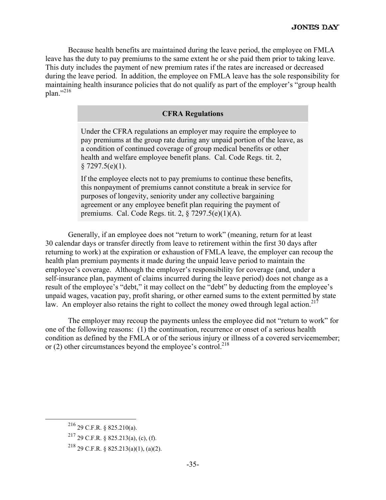Because health benefits are maintained during the leave period, the employee on FMLA leave has the duty to pay premiums to the same extent he or she paid them prior to taking leave. This duty includes the payment of new premium rates if the rates are increased or decreased during the leave period. In addition, the employee on FMLA leave has the sole responsibility for maintaining health insurance policies that do not qualify as part of the employer's "group health plan."216

#### **CFRA Regulations**

Under the CFRA regulations an employer may require the employee to pay premiums at the group rate during any unpaid portion of the leave, as a condition of continued coverage of group medical benefits or other health and welfare employee benefit plans. Cal. Code Regs. tit. 2,  $§ 7297.5(e)(1).$ 

If the employee elects not to pay premiums to continue these benefits, this nonpayment of premiums cannot constitute a break in service for purposes of longevity, seniority under any collective bargaining agreement or any employee benefit plan requiring the payment of premiums. Cal. Code Regs. tit. 2, § 7297.5(e)(1)(A).

Generally, if an employee does not "return to work" (meaning, return for at least 30 calendar days or transfer directly from leave to retirement within the first 30 days after returning to work) at the expiration or exhaustion of FMLA leave, the employer can recoup the health plan premium payments it made during the unpaid leave period to maintain the employee's coverage. Although the employer's responsibility for coverage (and, under a self-insurance plan, payment of claims incurred during the leave period) does not change as a result of the employee's "debt," it may collect on the "debt" by deducting from the employee's unpaid wages, vacation pay, profit sharing, or other earned sums to the extent permitted by state law. An employer also retains the right to collect the money owed through legal action.<sup>217</sup>

The employer may recoup the payments unless the employee did not "return to work" for one of the following reasons: (1) the continuation, recurrence or onset of a serious health condition as defined by the FMLA or of the serious injury or illness of a covered servicemember; or (2) other circumstances beyond the employee's control.<sup>218</sup>

 <sup>216 29</sup> C.F.R. § 825.210(a).

<sup>217 29</sup> C.F.R. § 825.213(a), (c), (f).

<sup>218 29</sup> C.F.R. § 825.213(a)(1), (a)(2).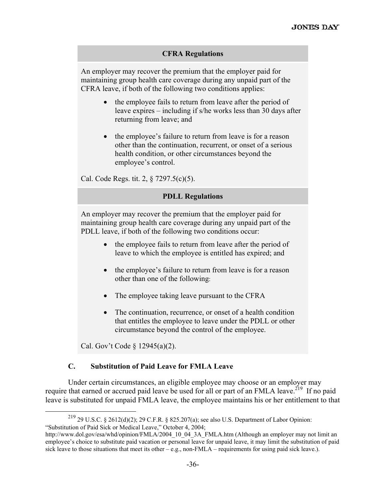#### **CFRA Regulations**

An employer may recover the premium that the employer paid for maintaining group health care coverage during any unpaid part of the CFRA leave, if both of the following two conditions applies:

- the employee fails to return from leave after the period of leave expires – including if s/he works less than 30 days after returning from leave; and
- the employee's failure to return from leave is for a reason other than the continuation, recurrent, or onset of a serious health condition, or other circumstances beyond the employee's control.

Cal. Code Regs. tit. 2, § 7297.5(c)(5).

#### **PDLL Regulations**

An employer may recover the premium that the employer paid for maintaining group health care coverage during any unpaid part of the PDLL leave, if both of the following two conditions occur:

- the employee fails to return from leave after the period of leave to which the employee is entitled has expired; and
- the employee's failure to return from leave is for a reason other than one of the following:
- The employee taking leave pursuant to the CFRA
- The continuation, recurrence, or onset of a health condition that entitles the employee to leave under the PDLL or other circumstance beyond the control of the employee.

Cal. Gov't Code § 12945(a)(2).

# **C. Substitution of Paid Leave for FMLA Leave**

Under certain circumstances, an eligible employee may choose or an employer may require that earned or accrued paid leave be used for all or part of an FMLA leave.<sup>219</sup> If no paid leave is substituted for unpaid FMLA leave, the employee maintains his or her entitlement to that

 <sup>219 29</sup> U.S.C. § 2612(d)(2); 29 C.F.R. § 825.207(a); see also U.S. Department of Labor Opinion: "Substitution of Paid Sick or Medical Leave," October 4, 2004;

http://www.dol.gov/esa/whd/opinion/FMLA/2004\_10\_04\_3A\_FMLA.htm (Although an employer may not limit an employee's choice to substitute paid vacation or personal leave for unpaid leave, it may limit the substitution of paid sick leave to those situations that meet its other – e.g., non-FMLA – requirements for using paid sick leave.).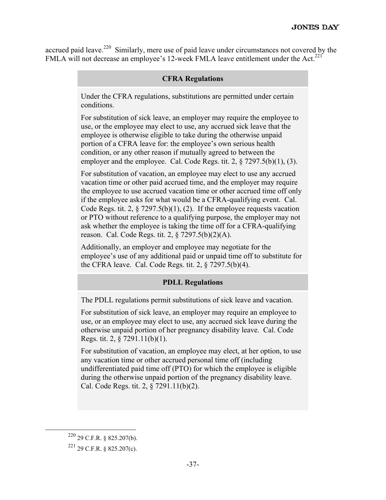accrued paid leave.<sup>220</sup> Similarly, mere use of paid leave under circumstances not covered by the FMLA will not decrease an employee's 12-week FMLA leave entitlement under the Act.<sup>221</sup>

#### **CFRA Regulations**

Under the CFRA regulations, substitutions are permitted under certain conditions.

For substitution of sick leave, an employer may require the employee to use, or the employee may elect to use, any accrued sick leave that the employee is otherwise eligible to take during the otherwise unpaid portion of a CFRA leave for: the employee's own serious health condition, or any other reason if mutually agreed to between the employer and the employee. Cal. Code Regs. tit. 2,  $\S$  7297.5(b)(1), (3).

For substitution of vacation, an employee may elect to use any accrued vacation time or other paid accrued time, and the employer may require the employee to use accrued vacation time or other accrued time off only if the employee asks for what would be a CFRA-qualifying event. Cal. Code Regs. tit. 2,  $\S$  7297.5(b)(1), (2). If the employee requests vacation or PTO without reference to a qualifying purpose, the employer may not ask whether the employee is taking the time off for a CFRA-qualifying reason. Cal. Code Regs. tit. 2, § 7297.5(b)(2)(A).

Additionally, an employer and employee may negotiate for the employee's use of any additional paid or unpaid time off to substitute for the CFRA leave. Cal. Code Regs. tit. 2, § 7297.5(b)(4).

#### **PDLL Regulations**

The PDLL regulations permit substitutions of sick leave and vacation.

For substitution of sick leave, an employer may require an employee to use, or an employee may elect to use, any accrued sick leave during the otherwise unpaid portion of her pregnancy disability leave. Cal. Code Regs. tit. 2, § 7291.11(b)(1).

For substitution of vacation, an employee may elect, at her option, to use any vacation time or other accrued personal time off (including undifferentiated paid time off (PTO) for which the employee is eligible during the otherwise unpaid portion of the pregnancy disability leave. Cal. Code Regs. tit. 2, § 7291.11(b)(2).

 <sup>220 29</sup> C.F.R. § 825.207(b).

 $^{221}$  29 C.F.R. § 825.207(c).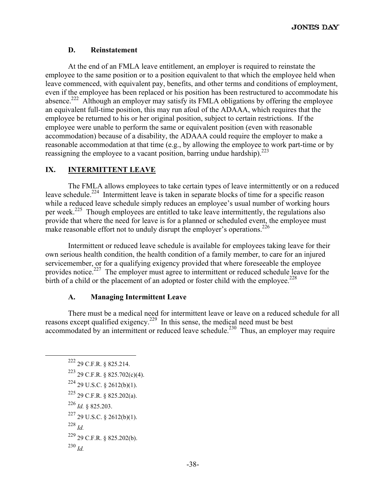# **D. Reinstatement**

At the end of an FMLA leave entitlement, an employer is required to reinstate the employee to the same position or to a position equivalent to that which the employee held when leave commenced, with equivalent pay, benefits, and other terms and conditions of employment, even if the employee has been replaced or his position has been restructured to accommodate his absence.<sup>222</sup> Although an employer may satisfy its FMLA obligations by offering the employee an equivalent full-time position, this may run afoul of the ADAAA, which requires that the employee be returned to his or her original position, subject to certain restrictions. If the employee were unable to perform the same or equivalent position (even with reasonable accommodation) because of a disability, the ADAAA could require the employer to make a reasonable accommodation at that time (e.g., by allowing the employee to work part-time or by reassigning the employee to a vacant position, barring undue hardship).  $223$ 

# **IX. INTERMITTENT LEAVE**

The FMLA allows employees to take certain types of leave intermittently or on a reduced leave schedule.<sup>224</sup> Intermittent leave is taken in separate blocks of time for a specific reason while a reduced leave schedule simply reduces an employee's usual number of working hours per week.<sup>225</sup> Though employees are entitled to take leave intermittently, the regulations also provide that where the need for leave is for a planned or scheduled event, the employee must make reasonable effort not to unduly disrupt the employer's operations.<sup>226</sup>

Intermittent or reduced leave schedule is available for employees taking leave for their own serious health condition, the health condition of a family member, to care for an injured servicemember, or for a qualifying exigency provided that where foreseeable the employee provides notice.<sup>227</sup> The employer must agree to intermittent or reduced schedule leave for the birth of a child or the placement of an adopted or foster child with the employee.<sup>228</sup>

# **A. Managing Intermittent Leave**

There must be a medical need for intermittent leave or leave on a reduced schedule for all reasons except qualified exigency.<sup>229</sup> In this sense, the medical need must be best accommodated by an intermittent or reduced leave schedule.<sup>230</sup> Thus, an employer may require

 222 29 C.F.R. § 825.214. 223 29 C.F.R. § 825.702(c)(4).  $224$  29 U.S.C. § 2612(b)(1). 225 29 C.F.R. § 825.202(a). <sup>226</sup> *Id.* § 825.203.  $227$  29 U.S.C. § 2612(b)(1).  $^{228}$  *Id*. 229 29 C.F.R. § 825.202(b). <sup>230</sup> *Id.*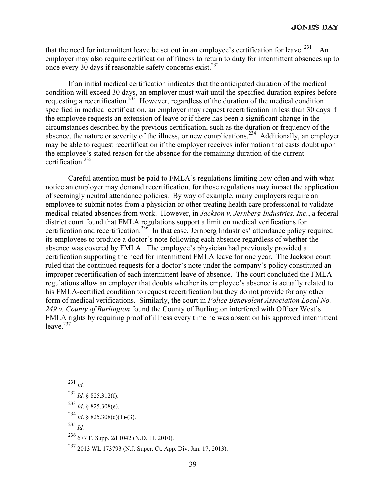that the need for intermittent leave be set out in an employee's certification for leave.  $231$  An employer may also require certification of fitness to return to duty for intermittent absences up to once every 30 days if reasonable safety concerns exist.<sup>232</sup>

If an initial medical certification indicates that the anticipated duration of the medical condition will exceed 30 days, an employer must wait until the specified duration expires before requesting a recertification.<sup> $233$ </sup> However, regardless of the duration of the medical condition specified in medical certification, an employer may request recertification in less than 30 days if the employee requests an extension of leave or if there has been a significant change in the circumstances described by the previous certification, such as the duration or frequency of the absence, the nature or severity of the illness, or new complications.<sup>234</sup> Additionally, an employer may be able to request recertification if the employer receives information that casts doubt upon the employee's stated reason for the absence for the remaining duration of the current certification<sup>235</sup>

Careful attention must be paid to FMLA's regulations limiting how often and with what notice an employer may demand recertification, for those regulations may impact the application of seemingly neutral attendance policies. By way of example, many employers require an employee to submit notes from a physician or other treating health care professional to validate medical-related absences from work. However, in *Jackson v. Jernberg Industries, Inc.*, a federal district court found that FMLA regulations support a limit on medical verifications for certification and recertification.<sup>236</sup> In that case, Jernberg Industries' attendance policy required its employees to produce a doctor's note following each absence regardless of whether the absence was covered by FMLA. The employee's physician had previously provided a certification supporting the need for intermittent FMLA leave for one year. The Jackson court ruled that the continued requests for a doctor's note under the company's policy constituted an improper recertification of each intermittent leave of absence. The court concluded the FMLA regulations allow an employer that doubts whether its employee's absence is actually related to his FMLA-certified condition to request recertification but they do not provide for any other form of medical verifications. Similarly, the court in *Police Benevolent Association Local No. 249 v. County of Burlington* found the County of Burlington interfered with Officer West's FMLA rights by requiring proof of illness every time he was absent on his approved intermittent leave. $237$ 

 231 *Id.*  $^{232}$  *Id.* § 825.312(f).

<sup>233</sup> *Id*. § 825.308(e).

<sup>234</sup> *Id*. § 825.308(c)(1)-(3).

 $^{235}$  *Id.* 

236 677 F. Supp. 2d 1042 (N.D. Ill. 2010).

237 2013 WL 173793 (N.J. Super. Ct. App. Div. Jan. 17, 2013).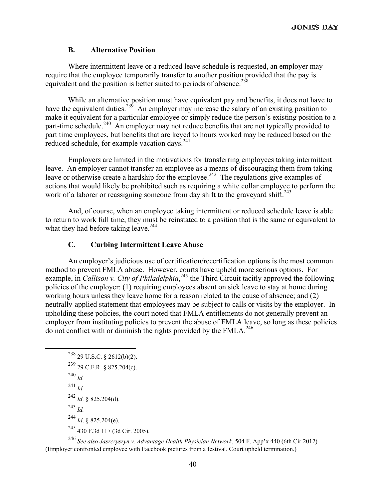#### **B. Alternative Position**

Where intermittent leave or a reduced leave schedule is requested, an employer may require that the employee temporarily transfer to another position provided that the pay is equivalent and the position is better suited to periods of absence.<sup>238</sup>

While an alternative position must have equivalent pay and benefits, it does not have to have the equivalent duties.<sup>239</sup> An employer may increase the salary of an existing position to make it equivalent for a particular employee or simply reduce the person's existing position to a part-time schedule.<sup>240</sup> An employer may not reduce benefits that are not typically provided to part time employees, but benefits that are keyed to hours worked may be reduced based on the reduced schedule, for example vacation days.<sup>241</sup>

Employers are limited in the motivations for transferring employees taking intermittent leave. An employer cannot transfer an employee as a means of discouraging them from taking leave or otherwise create a hardship for the employee.<sup>242</sup> The regulations give examples of actions that would likely be prohibited such as requiring a white collar employee to perform the work of a laborer or reassigning someone from day shift to the graveyard shift.<sup>243</sup>

And, of course, when an employee taking intermittent or reduced schedule leave is able to return to work full time, they must be reinstated to a position that is the same or equivalent to what they had before taking leave.  $244$ 

# **C. Curbing Intermittent Leave Abuse**

An employer's judicious use of certification/recertification options is the most common method to prevent FMLA abuse. However, courts have upheld more serious options. For example, in *Callison v. City of Philadelphia*,<sup>245</sup> the Third Circuit tacitly approved the following policies of the employer: (1) requiring employees absent on sick leave to stay at home during working hours unless they leave home for a reason related to the cause of absence; and (2) neutrally-applied statement that employees may be subject to calls or visits by the employer. In upholding these policies, the court noted that FMLA entitlements do not generally prevent an employer from instituting policies to prevent the abuse of FMLA leave, so long as these policies do not conflict with or diminish the rights provided by the  $FMLA$ .<sup>246</sup>

```
^{238} 29 U.S.C. § 2612(b)(2).
239 29 C.F.R. § 825.204(c). 
240 Id.
241 Id.
242 Id. § 825.204(d). 
243 Id. 
244 Id. § 825.204(e). 
245 430 F.3d 117 (3d Cir. 2005).
```
<sup>246</sup> *See also Jaszczyszyn v. Advantage Health Physician Network*, 504 F. App'x 440 (6th Cir 2012) (Employer confronted employee with Facebook pictures from a festival. Court upheld termination.)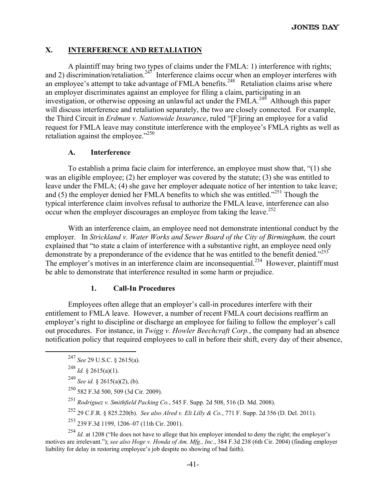# **X. INTERFERENCE AND RETALIATION**

A plaintiff may bring two types of claims under the FMLA: 1) interference with rights; and 2) discrimination/retaliation.<sup>247</sup> Interference claims occur when an employer interferes with an employee's attempt to take advantage of FMLA benefits.<sup>248</sup> Retaliation claims arise where an employer discriminates against an employee for filing a claim, participating in an investigation, or otherwise opposing an unlawful act under the FMLA.<sup>249</sup> Although this paper will discuss interference and retaliation separately, the two are closely connected. For example, the Third Circuit in *Erdman v. Nationwide Insurance*, ruled "[F]iring an employee for a valid request for FMLA leave may constitute interference with the employee's FMLA rights as well as retaliation against the employee."<sup>250</sup>

#### **A. Interference**

To establish a prima facie claim for interference, an employee must show that, "(1) she was an eligible employee; (2) her employer was covered by the statute; (3) she was entitled to leave under the FMLA; (4) she gave her employer adequate notice of her intention to take leave; and  $(5)$  the employer denied her FMLA benefits to which she was entitled."<sup>251</sup> Though the typical interference claim involves refusal to authorize the FMLA leave, interference can also occur when the employer discourages an employee from taking the leave.<sup>252</sup>

With an interference claim, an employee need not demonstrate intentional conduct by the employer. In *Strickland v. Water Works and Sewer Board of the City of Birmingham, the court* explained that "to state a claim of interference with a substantive right, an employee need only demonstrate by a preponderance of the evidence that he was entitled to the benefit denied."<sup>253</sup> The employer's motives in an interference claim are inconsequential.<sup>254</sup> However, plaintiff must be able to demonstrate that interference resulted in some harm or prejudice.

#### **1. Call-In Procedures**

Employees often allege that an employer's call-in procedures interfere with their entitlement to FMLA leave. However, a number of recent FMLA court decisions reaffirm an employer's right to discipline or discharge an employee for failing to follow the employer's call out procedures. For instance, in *Twigg v. Howler Beechcraft Corp.*, the company had an absence notification policy that required employees to call in before their shift, every day of their absence,

 $253$  239 F.3d 1199, 1206–07 (11th Cir. 2001).

<sup>254</sup> *Id.* at 1208 ("He does not have to allege that his employer intended to deny the right; the employer's motives are irrelevant."); *see also Hoge v. Honda of Am. Mfg., Inc.*, 384 F.3d 238 (6th Cir. 2004) (finding employer liability for delay in restoring employee's job despite no showing of bad faith).

 <sup>247</sup> *See* 29 U.S.C. § 2615(a).

<sup>248</sup> *Id.* § 2615(a)(1).

<sup>249</sup> *See id.* § 2615(a)(2), (b).

<sup>250 582</sup> F.3d 500, 509 (3d Cir. 2009).

<sup>251</sup> *Rodriguez v. Smithfield Packing Co.*, 545 F. Supp. 2d 508, 516 (D. Md. 2008).

<sup>252 29</sup> C.F.R. § 825.220(b). *See also Alred v. Eli Lilly & Co.*, 771 F. Supp. 2d 356 (D. Del. 2011).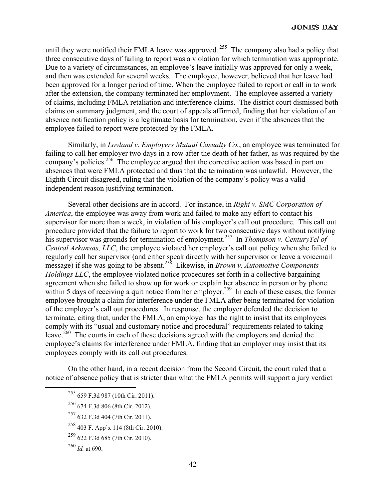until they were notified their FMLA leave was approved.<sup>255</sup> The company also had a policy that three consecutive days of failing to report was a violation for which termination was appropriate. Due to a variety of circumstances, an employee's leave initially was approved for only a week, and then was extended for several weeks. The employee, however, believed that her leave had been approved for a longer period of time. When the employee failed to report or call in to work after the extension, the company terminated her employment. The employee asserted a variety of claims, including FMLA retaliation and interference claims. The district court dismissed both claims on summary judgment, and the court of appeals affirmed, finding that her violation of an absence notification policy is a legitimate basis for termination, even if the absences that the employee failed to report were protected by the FMLA.

Similarly, in *Lovland v. Employers Mutual Casualty Co.*, an employee was terminated for failing to call her employer two days in a row after the death of her father, as was required by the company's policies.<sup>256</sup> The employee argued that the corrective action was based in part on absences that were FMLA protected and thus that the termination was unlawful. However, the Eighth Circuit disagreed, ruling that the violation of the company's policy was a valid independent reason justifying termination.

Several other decisions are in accord. For instance, in *Righi v. SMC Corporation of America*, the employee was away from work and failed to make any effort to contact his supervisor for more than a week, in violation of his employer's call out procedure. This call out procedure provided that the failure to report to work for two consecutive days without notifying his supervisor was grounds for termination of employment.<sup>257</sup> In *Thompson v. CenturyTel of Central Arkansas, LLC*, the employee violated her employer's call out policy when she failed to regularly call her supervisor (and either speak directly with her supervisor or leave a voicemail message) if she was going to be absent.258 Likewise, in *Brown v. Automotive Components Holdings LLC*, the employee violated notice procedures set forth in a collective bargaining agreement when she failed to show up for work or explain her absence in person or by phone within 5 days of receiving a quit notice from her employer.<sup>259</sup> In each of these cases, the former employee brought a claim for interference under the FMLA after being terminated for violation of the employer's call out procedures. In response, the employer defended the decision to terminate, citing that, under the FMLA, an employer has the right to insist that its employees comply with its "usual and customary notice and procedural" requirements related to taking leave.<sup>260</sup> The courts in each of these decisions agreed with the employers and denied the employee's claims for interference under FMLA, finding that an employer may insist that its employees comply with its call out procedures.

On the other hand, in a recent decision from the Second Circuit, the court ruled that a notice of absence policy that is stricter than what the FMLA permits will support a jury verdict

- 256 674 F.3d 806 (8th Cir. 2012).
- 257 632 F.3d 404 (7th Cir. 2011).

 <sup>255 659</sup> F.3d 987 (10th Cir. 2011).

<sup>258 403</sup> F. App'x 114 (8th Cir. 2010).

<sup>259 622</sup> F.3d 685 (7th Cir. 2010).

 $^{260}$  *Id.* at 690.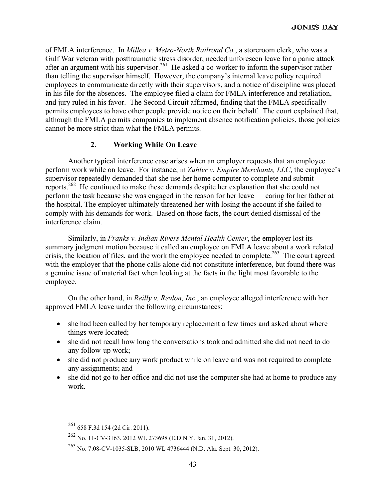of FMLA interference. In *Millea v. Metro-North Railroad Co.*, a storeroom clerk, who was a Gulf War veteran with posttraumatic stress disorder, needed unforeseen leave for a panic attack after an argument with his supervisor.<sup>261</sup> He asked a co-worker to inform the supervisor rather than telling the supervisor himself. However, the company's internal leave policy required employees to communicate directly with their supervisors, and a notice of discipline was placed in his file for the absences. The employee filed a claim for FMLA interference and retaliation, and jury ruled in his favor. The Second Circuit affirmed, finding that the FMLA specifically permits employees to have other people provide notice on their behalf. The court explained that, although the FMLA permits companies to implement absence notification policies, those policies cannot be more strict than what the FMLA permits.

# **2. Working While On Leave**

Another typical interference case arises when an employer requests that an employee perform work while on leave. For instance, in *Zahler v. Empire Merchants, LLC*, the employee's supervisor repeatedly demanded that she use her home computer to complete and submit reports.262 He continued to make these demands despite her explanation that she could not perform the task because she was engaged in the reason for her leave — caring for her father at the hospital. The employer ultimately threatened her with losing the account if she failed to comply with his demands for work. Based on those facts, the court denied dismissal of the interference claim.

Similarly, in *Franks v. Indian Rivers Mental Health Center*, the employer lost its summary judgment motion because it called an employee on FMLA leave about a work related crisis, the location of files, and the work the employee needed to complete.<sup>263</sup> The court agreed with the employer that the phone calls alone did not constitute interference, but found there was a genuine issue of material fact when looking at the facts in the light most favorable to the employee.

On the other hand, in *Reilly v. Revlon, Inc*., an employee alleged interference with her approved FMLA leave under the following circumstances:

- she had been called by her temporary replacement a few times and asked about where things were located;
- she did not recall how long the conversations took and admitted she did not need to do any follow-up work;
- she did not produce any work product while on leave and was not required to complete any assignments; and
- she did not go to her office and did not use the computer she had at home to produce any work.

 <sup>261 658</sup> F.3d 154 (2d Cir. 2011).

<sup>262</sup> No. 11-CV-3163, 2012 WL 273698 (E.D.N.Y. Jan. 31, 2012).

<sup>263</sup> No. 7:08-CV-1035-SLB, 2010 WL 4736444 (N.D. Ala. Sept. 30, 2012).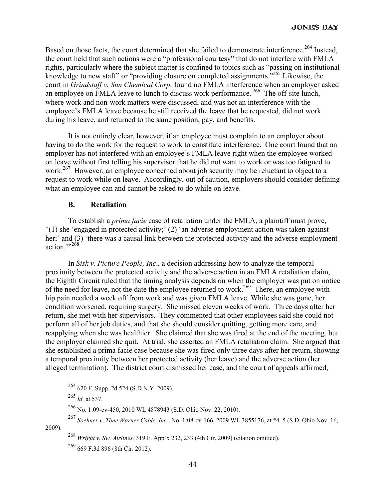Based on those facts, the court determined that she failed to demonstrate interference.<sup>264</sup> Instead, the court held that such actions were a "professional courtesy" that do not interfere with FMLA rights, particularly where the subject matter is confined to topics such as "passing on institutional knowledge to new staff" or "providing closure on completed assignments."<sup>265</sup> Likewise, the court in *Grindstaff v. Sun Chemical Corp.* found no FMLA interference when an employer asked an employee on FMLA leave to lunch to discuss work performance.<sup>266</sup> The off-site lunch, where work and non-work matters were discussed, and was not an interference with the employee's FMLA leave because he still received the leave that he requested, did not work during his leave, and returned to the same position, pay, and benefits.

It is not entirely clear, however, if an employee must complain to an employer about having to do the work for the request to work to constitute interference. One court found that an employer has not interfered with an employee's FMLA leave right when the employee worked on leave without first telling his supervisor that he did not want to work or was too fatigued to work.<sup>267</sup> However, an employee concerned about job security may be reluctant to object to a request to work while on leave. Accordingly, out of caution, employers should consider defining what an employee can and cannot be asked to do while on leave.

#### **B. Retaliation**

To establish a *prima facie* case of retaliation under the FMLA, a plaintiff must prove, "(1) she 'engaged in protected activity;' (2) 'an adverse employment action was taken against her;' and (3) 'there was a causal link between the protected activity and the adverse employment action."<sup>268</sup>

In *Sisk v. Picture People, Inc*., a decision addressing how to analyze the temporal proximity between the protected activity and the adverse action in an FMLA retaliation claim, the Eighth Circuit ruled that the timing analysis depends on when the employer was put on notice of the need for leave, not the date the employee returned to work.<sup>269</sup> There, an employee with hip pain needed a week off from work and was given FMLA leave. While she was gone, her condition worsened, requiring surgery. She missed eleven weeks of work. Three days after her return, she met with her supervisors. They commented that other employees said she could not perform all of her job duties, and that she should consider quitting, getting more care, and reapplying when she was healthier. She claimed that she was fired at the end of the meeting, but the employer claimed she quit. At trial, she asserted an FMLA retaliation claim. She argued that she established a prima facie case because she was fired only three days after her return, showing a temporal proximity between her protected activity (her leave) and the adverse action (her alleged termination). The district court dismissed her case, and the court of appeals affirmed,

 <sup>264 620</sup> F. Supp. 2d 524 (S.D.N.Y. 2009).

<sup>265</sup> *Id.* at 537.

<sup>266</sup> No. 1:09-cv-450, 2010 WL 4878943 (S.D. Ohio Nov. 22, 2010).

<sup>267</sup> *Soehner v. Time Warner Cable, Inc.*, No. 1:08-cv-166, 2009 WL 3855176, at \*4–5 (S.D. Ohio Nov. 16, 2009).

<sup>268</sup> *Wright v. Sw. Airlines,* 319 F. App'x 232, 233 (4th Cir. 2009) (citation omitted).

<sup>269 669</sup> F.3d 896 (8th Cir. 2012).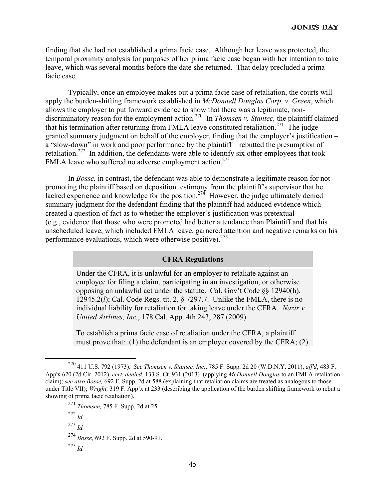finding that she had not established a prima facie case. Although her leave was protected, the temporal proximity analysis for purposes of her prima facie case began with her intention to take leave, which was several months before the date she returned. That delay precluded a prima facie case.

Typically, once an employee makes out a prima facie case of retaliation, the courts will apply the burden-shifting framework established in *McDonnell Douglas Corp. v. Green*, which allows the employer to put forward evidence to show that there was a legitimate, nondiscriminatory reason for the employment action.<sup>270</sup> In *Thomsen v. Stantec*, the plaintiff claimed that his termination after returning from FMLA leave constituted retaliation.<sup>271</sup> The judge granted summary judgment on behalf of the employer, finding that the employer's justification – a "slow-down" in work and poor performance by the plaintiff – rebutted the presumption of retaliation.<sup>272</sup> In addition, the defendants were able to identify six other employees that took FMLA leave who suffered no adverse employment action.<sup>273</sup>

In *Bosse,* in contrast, the defendant was able to demonstrate a legitimate reason for not promoting the plaintiff based on deposition testimony from the plaintiff's supervisor that he lacked experience and knowledge for the position.<sup>274</sup> However, the judge ultimately denied summary judgment for the defendant finding that the plaintiff had adduced evidence which created a question of fact as to whether the employer's justification was pretextual (e.g., evidence that those who were promoted had better attendance than Plaintiff and that his unscheduled leave, which included FMLA leave, garnered attention and negative remarks on his performance evaluations, which were otherwise positive).<sup>275</sup>

# **CFRA Regulations**

Under the CFRA, it is unlawful for an employer to retaliate against an employee for filing a claim, participating in an investigation, or otherwise opposing an unlawful act under the statute. Cal. Gov't Code §§ 12940(h), 12945.2(*l*); Cal. Code Regs. tit. 2, § 7297.7. Unlike the FMLA, there is no individual liability for retaliation for taking leave under the CFRA. *Nazir v. United Airlines, Inc.*, 178 Cal. App. 4th 243, 287 (2009).

To establish a prima facie case of retaliation under the CFRA, a plaintiff must prove that: (1) the defendant is an employer covered by the CFRA; (2)

 <sup>270 411</sup> U.S. 792 (1973). *See Thomsen v. Stantec, Inc.*, 785 F. Supp. 2d 20 (W.D.N.Y. 2011), *aff'd*, 483 F. App'x 620 (2d Cir. 2012), *cert. denied*, 133 S. Ct. 931 (2013) (applying *McDonnell Douglas* to an FMLA retaliation claim); *see also Bosse,* 692 F. Supp. 2d at 588 (explaining that retaliation claims are treated as analogous to those under Title VII); *Wright,* 319 F. App'x at 233 (describing the application of the burden shifting framework to rebut a showing of prima facie retaliation).

<sup>271</sup> *Thomsen,* 785 F. Supp. 2d at 25.

 $^{272}$  *Id.* 

<sup>273</sup> *Id.*

<sup>274</sup> *Bosse,* 692 F. Supp. 2d at 590-91.

<sup>275</sup> *Id.*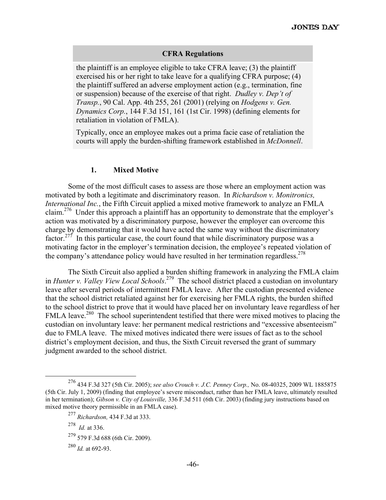#### **CFRA Regulations**

the plaintiff is an employee eligible to take CFRA leave; (3) the plaintiff exercised his or her right to take leave for a qualifying CFRA purpose; (4) the plaintiff suffered an adverse employment action (e.g., termination, fine or suspension) because of the exercise of that right. *Dudley v. Dep't of Transp.*, 90 Cal. App. 4th 255, 261 (2001) (relying on *Hodgens v. Gen. Dynamics Corp.*, 144 F.3d 151, 161 (1st Cir. 1998) (defining elements for retaliation in violation of FMLA).

Typically, once an employee makes out a prima facie case of retaliation the courts will apply the burden-shifting framework established in *McDonnell*.

#### **1. Mixed Motive**

Some of the most difficult cases to assess are those where an employment action was motivated by both a legitimate and discriminatory reason. In *Richardson v. Monitronics, International Inc.*, the Fifth Circuit applied a mixed motive framework to analyze an FMLA claim.276 Under this approach a plaintiff has an opportunity to demonstrate that the employer's action was motivated by a discriminatory purpose, however the employer can overcome this charge by demonstrating that it would have acted the same way without the discriminatory factor.<sup>277</sup> In this particular case, the court found that while discriminatory purpose was a motivating factor in the employer's termination decision, the employee's repeated violation of the company's attendance policy would have resulted in her termination regardless.<sup>278</sup>

The Sixth Circuit also applied a burden shifting framework in analyzing the FMLA claim in *Hunter v. Valley View Local Schools*. 279 The school district placed a custodian on involuntary leave after several periods of intermittent FMLA leave. After the custodian presented evidence that the school district retaliated against her for exercising her FMLA rights, the burden shifted to the school district to prove that it would have placed her on involuntary leave regardless of her FMLA leave.<sup>280</sup> The school superintendent testified that there were mixed motives to placing the custodian on involuntary leave: her permanent medical restrictions and "excessive absenteeism" due to FMLA leave. The mixed motives indicated there were issues of fact as to the school district's employment decision, and thus, the Sixth Circuit reversed the grant of summary judgment awarded to the school district.

278 *Id.* at 336.

 <sup>276 434</sup> F.3d 327 (5th Cir. 2005); *see also Crouch v. J.C. Penney Corp.,* No. 08-40325, 2009 WL 1885875 (5th Cir. July 1, 2009) (finding that employee's severe misconduct, rather than her FMLA leave, ultimately resulted in her termination); *Gibson v. City of Louisville,* 336 F.3d 511 (6th Cir. 2003) (finding jury instructions based on mixed motive theory permissible in an FMLA case).

<sup>277</sup> *Richardson,* 434 F.3d at 333.

<sup>279 579</sup> F.3d 688 (6th Cir. 2009).

<sup>280</sup> *Id.* at 692-93.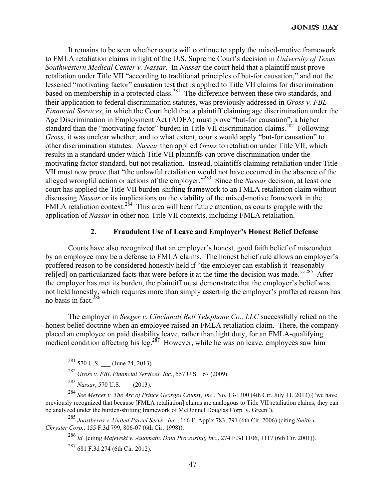It remains to be seen whether courts will continue to apply the mixed-motive framework to FMLA retaliation claims in light of the U.S. Supreme Court's decision in *University of Texas Southwestern Medical Center v. Nassar*. In *Nassar* the court held that a plaintiff must prove retaliation under Title VII "according to traditional principles of but-for causation," and not the lessened "motivating factor" causation test that is applied to Title VII claims for discrimination based on membership in a protected class.<sup>281</sup> The difference between these two standards, and their application to federal discrimination statutes, was previously addressed in *Gross v. FBL Financial Services*, in which the Court held that a plaintiff claiming age discrimination under the Age Discrimination in Employment Act (ADEA) must prove "but-for causation", a higher standard than the "motivating factor" burden in Title VII discrimination claims.<sup>282</sup> Following *Gross*, it was unclear whether, and to what extent, courts would apply "but-for causation" to other discrimination statutes. *Nassar* then applied *Gross* to retaliation under Title VII, which results in a standard under which Title VII plaintiffs can prove discrimination under the motivating factor standard, but not retaliation. Instead, plaintiffs claiming retaliation under Title VII must now prove that "the unlawful retaliation would not have occurred in the absence of the alleged wrongful action or actions of the employer."283 Since the *Nassar* decision, at least one court has applied the Title VII burden-shifting framework to an FMLA retaliation claim without discussing *Nassar* or its implications on the viability of the mixed-motive framework in the FMLA retaliation context.<sup>284</sup> This area will bear future attention, as courts grapple with the application of *Nassar* in other non-Title VII contexts, including FMLA retaliation.

#### **2. Fraudulent Use of Leave and Employer's Honest Belief Defense**

Courts have also recognized that an employer's honest, good faith belief of misconduct by an employee may be a defense to FMLA claims. The honest belief rule allows an employer's proffered reason to be considered honestly held if "the employer can establish it 'reasonably reli[ed] on particularized facts that were before it at the time the decision was made.'"<sup>285</sup> After the employer has met its burden, the plaintiff must demonstrate that the employer's belief was not held honestly, which requires more than simply asserting the employer's proffered reason has no basis in fact  $^{286}$ 

The employer in *Seeger v. Cincinnati Bell Telephone Co., LLC* successfully relied on the honest belief doctrine when an employee raised an FMLA retaliation claim. There, the company placed an employee on paid disability leave, rather than light duty, for an FMLA-qualifying medical condition affecting his leg.<sup>287</sup> However, while he was on leave, employees saw him

 $281$  570 U.S. \_\_\_ (June 24, 2013).

<sup>282</sup> *Gross v. FBL Financial Services, Inc.*, 557 U.S. 167 (2009).

<sup>283</sup> *Nassar*, 570 U.S. \_\_\_ (2013).

<sup>284</sup> *See Mercer v. The Arc of Prince Georges County, Inc.*, No. 13-1300 (4th Cir. July 11, 2013) ("we have previously recognized that because [FMLA retaliation] claims are analogous to Title VII retaliation claims, they can be analyzed under the burden-shifting framework of McDonnel Douglas Corp. v. Green").

<sup>285</sup> *Joostberns v. United Parcel Servs., Inc.*, 166 F. App'x 783, 791 (6th Cir. 2006) (citing *Smith v. Chryster Corp.*, 155 F.3d 799, 806-07 (6th Cir. 1998)).

<sup>286</sup> *Id.* (citing *Majewski v. Automatic Data Processing, Inc.*, 274 F.3d 1106, 1117 (6th Cir. 2001)).

 $287$  681 F.3d 274 (6th Cir. 2012).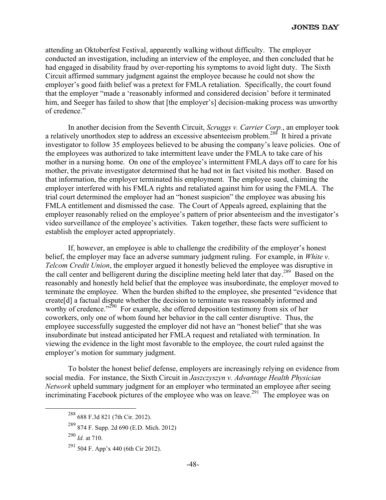attending an Oktoberfest Festival, apparently walking without difficulty. The employer conducted an investigation, including an interview of the employee, and then concluded that he had engaged in disability fraud by over-reporting his symptoms to avoid light duty. The Sixth Circuit affirmed summary judgment against the employee because he could not show the employer's good faith belief was a pretext for FMLA retaliation. Specifically, the court found that the employer "made a 'reasonably informed and considered decision' before it terminated him, and Seeger has failed to show that [the employer's] decision-making process was unworthy of credence."

In another decision from the Seventh Circuit, *Scruggs v. Carrier Corp.*, an employer took a relatively unorthodox step to address an excessive absenteeism problem.288 It hired a private investigator to follow 35 employees believed to be abusing the company's leave policies. One of the employees was authorized to take intermittent leave under the FMLA to take care of his mother in a nursing home. On one of the employee's intermittent FMLA days off to care for his mother, the private investigator determined that he had not in fact visited his mother. Based on that information, the employer terminated his employment. The employee sued, claiming the employer interfered with his FMLA rights and retaliated against him for using the FMLA. The trial court determined the employer had an "honest suspicion" the employee was abusing his FMLA entitlement and dismissed the case. The Court of Appeals agreed, explaining that the employer reasonably relied on the employee's pattern of prior absenteeism and the investigator's video surveillance of the employee's activities. Taken together, these facts were sufficient to establish the employer acted appropriately.

If, however, an employee is able to challenge the credibility of the employer's honest belief, the employer may face an adverse summary judgment ruling. For example, in *White v. Telcom Credit Union*, the employer argued it honestly believed the employee was disruptive in the call center and belligerent during the discipline meeting held later that day.<sup>289</sup> Based on the reasonably and honestly held belief that the employee was insubordinate, the employer moved to terminate the employee. When the burden shifted to the employee, she presented "evidence that create[d] a factual dispute whether the decision to terminate was reasonably informed and worthy of credence."<sup>290</sup> For example, she offered deposition testimony from six of her coworkers, only one of whom found her behavior in the call center disruptive. Thus, the employee successfully suggested the employer did not have an "honest belief" that she was insubordinate but instead anticipated her FMLA request and retaliated with termination. In viewing the evidence in the light most favorable to the employee, the court ruled against the employer's motion for summary judgment.

To bolster the honest belief defense, employers are increasingly relying on evidence from social media. For instance, the Sixth Circuit in *Jaszczyszyn v. Advantage Health Physician Network* upheld summary judgment for an employer who terminated an employee after seeing incriminating Facebook pictures of the employee who was on leave.<sup>291</sup> The employee was on

 <sup>288 688</sup> F.3d 821 (7th Cir. 2012).

<sup>289 874</sup> F. Supp. 2d 690 (E.D. Mich. 2012)

<sup>290</sup> *Id.* at 710.

<sup>291 504</sup> F. App'x 440 (6th Cir 2012).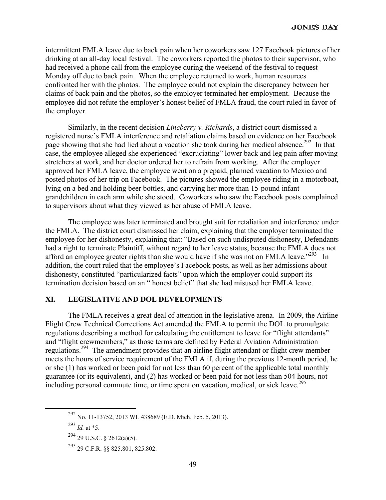intermittent FMLA leave due to back pain when her coworkers saw 127 Facebook pictures of her drinking at an all-day local festival. The coworkers reported the photos to their supervisor, who had received a phone call from the employee during the weekend of the festival to request Monday off due to back pain. When the employee returned to work, human resources confronted her with the photos. The employee could not explain the discrepancy between her claims of back pain and the photos, so the employer terminated her employment. Because the employee did not refute the employer's honest belief of FMLA fraud, the court ruled in favor of the employer.

Similarly, in the recent decision *Lineberry v. Richards*, a district court dismissed a registered nurse's FMLA interference and retaliation claims based on evidence on her Facebook page showing that she had lied about a vacation she took during her medical absence.<sup>292</sup> In that case, the employee alleged she experienced "excruciating" lower back and leg pain after moving stretchers at work, and her doctor ordered her to refrain from working. After the employer approved her FMLA leave, the employee went on a prepaid, planned vacation to Mexico and posted photos of her trip on Facebook. The pictures showed the employee riding in a motorboat, lying on a bed and holding beer bottles, and carrying her more than 15-pound infant grandchildren in each arm while she stood. Coworkers who saw the Facebook posts complained to supervisors about what they viewed as her abuse of FMLA leave.

The employee was later terminated and brought suit for retaliation and interference under the FMLA. The district court dismissed her claim, explaining that the employer terminated the employee for her dishonesty, explaining that: "Based on such undisputed dishonesty, Defendants had a right to terminate Plaintiff, without regard to her leave status, because the FMLA does not afford an employee greater rights than she would have if she was not on FMLA leave."<sup>293</sup> In addition, the court ruled that the employee's Facebook posts, as well as her admissions about dishonesty, constituted "particularized facts" upon which the employer could support its termination decision based on an " honest belief" that she had misused her FMLA leave.

# **XI. LEGISLATIVE AND DOL DEVELOPMENTS**

The FMLA receives a great deal of attention in the legislative arena. In 2009, the Airline Flight Crew Technical Corrections Act amended the FMLA to permit the DOL to promulgate regulations describing a method for calculating the entitlement to leave for "flight attendants" and "flight crewmembers," as those terms are defined by Federal Aviation Administration regulations.294 The amendment provides that an airline flight attendant or flight crew member meets the hours of service requirement of the FMLA if, during the previous 12-month period, he or she (1) has worked or been paid for not less than 60 percent of the applicable total monthly guarantee (or its equivalent), and (2) has worked or been paid for not less than 504 hours, not including personal commute time, or time spent on vacation, medical, or sick leave.<sup>295</sup>

 <sup>292</sup> No. 11-13752, 2013 WL 438689 (E.D. Mich. Feb. 5, 2013).

<sup>293</sup> *Id.* at \*5.

<sup>294 29</sup> U.S.C. § 2612(a)(5).

<sup>295 29</sup> C.F.R. §§ 825.801, 825.802.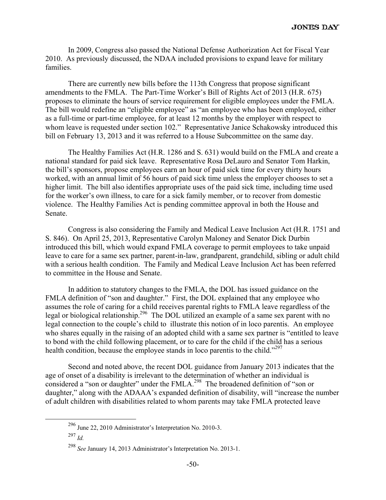In 2009, Congress also passed the National Defense Authorization Act for Fiscal Year 2010. As previously discussed, the NDAA included provisions to expand leave for military families.

There are currently new bills before the 113th Congress that propose significant amendments to the FMLA. The Part-Time Worker's Bill of Rights Act of 2013 (H.R. 675) proposes to eliminate the hours of service requirement for eligible employees under the FMLA. The bill would redefine an "eligible employee" as "an employee who has been employed, either as a full-time or part-time employee, for at least 12 months by the employer with respect to whom leave is requested under section 102." Representative Janice Schakowsky introduced this bill on February 13, 2013 and it was referred to a House Subcommittee on the same day.

The Healthy Families Act (H.R. 1286 and S. 631) would build on the FMLA and create a national standard for paid sick leave. Representative Rosa DeLauro and Senator Tom Harkin, the bill's sponsors, propose employees earn an hour of paid sick time for every thirty hours worked, with an annual limit of 56 hours of paid sick time unless the employer chooses to set a higher limit. The bill also identifies appropriate uses of the paid sick time, including time used for the worker's own illness, to care for a sick family member, or to recover from domestic violence. The Healthy Families Act is pending committee approval in both the House and Senate.

Congress is also considering the Family and Medical Leave Inclusion Act (H.R. 1751 and S. 846). On April 25, 2013, Representative Carolyn Maloney and Senator Dick Durbin introduced this bill, which would expand FMLA coverage to permit employees to take unpaid leave to care for a same sex partner, parent-in-law, grandparent, grandchild, sibling or adult child with a serious health condition. The Family and Medical Leave Inclusion Act has been referred to committee in the House and Senate.

In addition to statutory changes to the FMLA, the DOL has issued guidance on the FMLA definition of "son and daughter." First, the DOL explained that any employee who assumes the role of caring for a child receives parental rights to FMLA leave regardless of the legal or biological relationship.<sup>296</sup> The DOL utilized an example of a same sex parent with no legal connection to the couple's child to illustrate this notion of in loco parentis. An employee who shares equally in the raising of an adopted child with a same sex partner is "entitled to leave to bond with the child following placement, or to care for the child if the child has a serious health condition, because the employee stands in loco parentis to the child."<sup>297</sup>

Second and noted above, the recent DOL guidance from January 2013 indicates that the age of onset of a disability is irrelevant to the determination of whether an individual is considered a "son or daughter" under the FMLA.<sup>298</sup> The broadened definition of "son or daughter," along with the ADAAA's expanded definition of disability, will "increase the number of adult children with disabilities related to whom parents may take FMLA protected leave

 <sup>296</sup> June 22, 2010 Administrator's Interpretation No. 2010-3.

<sup>297</sup> *Id.*

<sup>298</sup> *See* January 14, 2013 Administrator's Interpretation No. 2013-1.